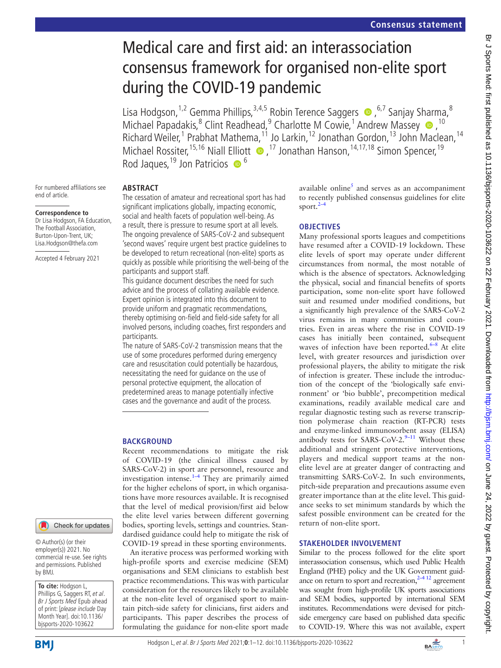# Medical care and first aid: an interassociation consensus framework for organised non-elite sport during the COVID-19 pandemic

Lisa Hodgson,<sup>1,2</sup> Gemma Phillips,<sup>3,4,5</sup> Robin Terence Saggers  $\bullet$ ,<sup>6,7</sup> Sanjay Sharma,<sup>8</sup> MichaelPapadakis,<sup>8</sup> Clint Readhead,<sup>9</sup> Charlotte M Cowie,<sup>1</sup> Andrew Massey <sup>10</sup>,<sup>10</sup> Richard Weiler,<sup>1</sup> Prabhat Mathema,<sup>11</sup> Jo Larkin,<sup>12</sup> Jonathan Gordon,<sup>13</sup> John Maclean,<sup>14</sup> MichaelRossiter,<sup>15,16</sup> Niall Elliott  $\bullet$ ,<sup>17</sup> Jonathan Hanson,<sup>14,17,18</sup> Simon Spencer,<sup>19</sup> Rod Jaques,  $^{19}$  Jon Patricios  $\bullet$ <sup>6</sup>

For numbered affiliations see end of article.

#### **Correspondence to**

Dr Lisa Hodgson, FA Education, The Football Association, Burton-Upon-Trent, UK; Lisa.Hodgson@thefa.com

Accepted 4 February 2021

# Check for updates

© Author(s) (or their employer(s)) 2021. No commercial re-use. See rights and permissions. Published by BMJ.

**To cite:** Hodgson L, Phillips G, Saggers RT, et al. Br J Sports Med Epub ahead of print: [please include Day Month Year]. doi:10.1136/ bjsports-2020-103622

## **ABSTRACT**

The cessation of amateur and recreational sport has had significant implications globally, impacting economic, social and health facets of population well-being. As a result, there is pressure to resume sport at all levels. The ongoing prevalence of SARS-CoV-2 and subsequent 'second waves' require urgent best practice guidelines to be developed to return recreational (non-elite) sports as quickly as possible while prioritising the well-being of the participants and support staff.

This guidance document describes the need for such advice and the process of collating available evidence. Expert opinion is integrated into this document to provide uniform and pragmatic recommendations, thereby optimising on-field and field-side safety for all involved persons, including coaches, first responders and participants.

The nature of SARS-CoV-2 transmission means that the use of some procedures performed during emergency care and resuscitation could potentially be hazardous, necessitating the need for guidance on the use of personal protective equipment, the allocation of predetermined areas to manage potentially infective cases and the governance and audit of the process.

## **BACKGROUND**

Recent recommendations to mitigate the risk of COVID-19 (the clinical illness caused by SARS-CoV-2) in sport are personnel, resource and investigation intense. $1-4$  They are primarily aimed for the higher echelons of sport, in which organisations have more resources available. It is recognised that the level of medical provision/first aid below the elite level varies between different governing bodies, sporting levels, settings and countries. Standardised guidance could help to mitigate the risk of COVID-19 spread in these sporting environments.

An iterative process was performed working with high-profile sports and exercise medicine (SEM) organisations and SEM clinicians to establish best practice recommendations. This was with particular consideration for the resources likely to be available at the non-elite level of organised sport to maintain pitch-side safety for clinicians, first aiders and participants. This paper describes the process of formulating the guidance for non-elite sport made

available online<sup>[5](#page-10-0)</sup> and serves as an accompaniment to recently published consensus guidelines for elite sport. $2-4$ 

## **OBJECTIVES**

Many professional sports leagues and competitions have resumed after a COVID-19 lockdown. These elite levels of sport may operate under different circumstances from normal, the most notable of which is the absence of spectators. Acknowledging the physical, social and financial benefits of sports participation, some non-elite sport have followed suit and resumed under modified conditions, but a significantly high prevalence of the SARS-CoV-2 virus remains in many communities and countries. Even in areas where the rise in COVID-19 cases has initially been contained, subsequent waves of infection have been reported.<sup>6-8</sup> At elite level, with greater resources and jurisdiction over professional players, the ability to mitigate the risk of infection is greater. These include the introduction of the concept of the 'biologically safe environment' or 'bio bubble', precompetition medical examinations, readily available medical care and regular diagnostic testing such as reverse transcription polymerase chain reaction (RT-PCR) tests and enzyme-linked immunosorbent assay (ELISA) antibody tests for SARS-CoV-2. $9-11$  Without these additional and stringent protective interventions, players and medical support teams at the nonelite level are at greater danger of contracting and transmitting SARS-CoV-2. In such environments, pitch-side preparation and precautions assume even greater importance than at the elite level. This guidance seeks to set minimum standards by which the safest possible environment can be created for the return of non-elite sport.

## **STAKEHOLDER INVOLVEMENT**

Similar to the process followed for the elite sport interassociation consensus, which used Public Health England (PHE) policy and the UK Government guidance on return to sport and recreation, $2^{-4}$  12 agreement was sought from high-profile UK sports associations and SEM bodies, supported by international SEM institutes. Recommendations were devised for pitchside emergency care based on published data specific to COVID-19. Where this was not available, expert

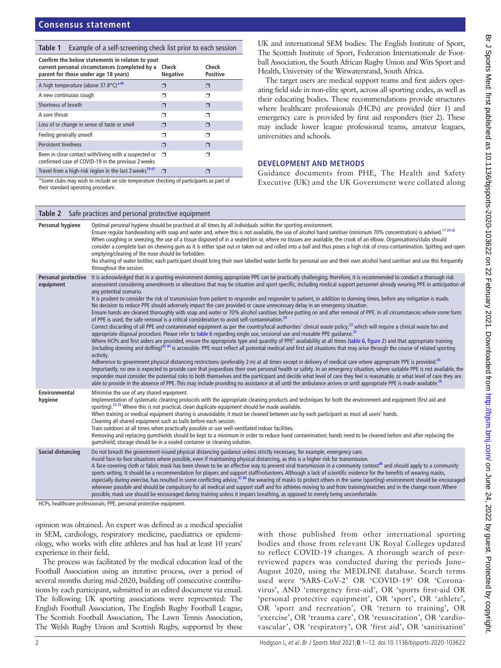#### <span id="page-1-0"></span>**Table 1** Example of a self-screening check list prior to each session

| Confirm the below statements in relaton to yout<br>current personal circumstances (completed by a<br>parent for those under age 18 years) | Check<br><b>Negative</b> | Check<br><b>Positive</b> |
|-------------------------------------------------------------------------------------------------------------------------------------------|--------------------------|--------------------------|
| A high temperature (above 37.8°C) <sup>*40</sup>                                                                                          | ⊓                        |                          |
| A new continuous cough                                                                                                                    | □                        | ⊐                        |
| Shortness of breath                                                                                                                       | Π                        | ⊓                        |
| A sore throat                                                                                                                             | ⊓                        | ◠                        |
| Loss of or change in sense of taste or smell                                                                                              | ⊓                        | ⊓                        |
| Feeling generally unwell                                                                                                                  | ⊓                        | ⊓                        |
| <b>Persistent tiredness</b>                                                                                                               | ⊓                        | ⊓                        |
| Been in close contact with/living with a suspected or<br>confirmed case of COVID-19 in the previous 2 weeks                               | σ                        | ⊐                        |
| Travel from a high-risk region in the last 2 weeks <sup>1941</sup>                                                                        | Π                        |                          |
| φασίας που distribution of the traditional state according to a control of the substitution and control of the                            |                          |                          |

Some clubs may wish to include on site temperature checking of participants as part of their standard operating procedure.

<span id="page-1-1"></span>**Table 2** Safe practices and personal protective equipment

UK and international SEM bodies: The English Institute of Sport, The Scottish Institute of Sport, Federation Internationale de Football Association, the South African Rugby Union and Wits Sport and Health, University of the Witwatersrand, South Africa.

The target users are medical support teams and first aiders operating field side in non-elite sport, across all sporting codes, as well as their educating bodies. These recommendations provide structures where healthcare professionals (HCPs) are provided (tier 1) and emergency care is provided by first aid responders (tier 2). These may include lower league professional teams, amateur leagues, universities and schools.

#### **DEVELOPMENT AND METHODS**

Guidance documents from PHE, The Health and Safety Executive (UK) and the UK Government were collated along

|                                         | <b>Replace Contract Structure of the property of the Component</b>                                                                                                                                                                                                                                                                                                                                                                                                                                                                                                                                                                                                                                                                                                                                                                                                                                                                                                                                                                                                                                                                                                                                                                                                                                                                                                                                                                                                                                                                                                                                                                                                                                                                                                                                                                                                                                                                                                                                                                                                                                                                                                                                                                                                                                                                                                                                       |
|-----------------------------------------|----------------------------------------------------------------------------------------------------------------------------------------------------------------------------------------------------------------------------------------------------------------------------------------------------------------------------------------------------------------------------------------------------------------------------------------------------------------------------------------------------------------------------------------------------------------------------------------------------------------------------------------------------------------------------------------------------------------------------------------------------------------------------------------------------------------------------------------------------------------------------------------------------------------------------------------------------------------------------------------------------------------------------------------------------------------------------------------------------------------------------------------------------------------------------------------------------------------------------------------------------------------------------------------------------------------------------------------------------------------------------------------------------------------------------------------------------------------------------------------------------------------------------------------------------------------------------------------------------------------------------------------------------------------------------------------------------------------------------------------------------------------------------------------------------------------------------------------------------------------------------------------------------------------------------------------------------------------------------------------------------------------------------------------------------------------------------------------------------------------------------------------------------------------------------------------------------------------------------------------------------------------------------------------------------------------------------------------------------------------------------------------------------------|
| Personal hygiene                        | Optimal personal hygiene should be practised at all times by all individuals within the sporting environment.<br>Ensure regular handwashing with soap and water and, where this is not available, the use of alcohol hand sanitiser (minimum 70% concentration) is advised. <sup>1724 42</sup><br>When coughing or sneezing, the use of a tissue disposed of in a sealed bin or, where no tissues are available, the crook of an elbow. Organisations/clubs should<br>consider a complete ban on chewing gum as it is either spat out or taken out and rolled into a ball and thus poses a high risk of cross-contamination. Spitting and open<br>emptying/clearing of the nose should be forbidden.<br>No sharing of water bottles; each participant should bring their own labelled water bottle for personal use and their own alcohol hand sanitiser and use this frequently<br>throughout the session.                                                                                                                                                                                                                                                                                                                                                                                                                                                                                                                                                                                                                                                                                                                                                                                                                                                                                                                                                                                                                                                                                                                                                                                                                                                                                                                                                                                                                                                                                              |
| <b>Personal protective</b><br>equipment | It is acknowledged that in a sporting environment donning appropriate PPE can be practically challenging; therefore, it is recommended to conduct a thorough risk<br>assessment considering amendments or alterations that may be situation and sport specific, including medical support personnel already wearing PPE in anticipation of<br>any potential scenario.<br>It is prudent to consider the risk of transmission from patient to responder and responder to patient, in addition to donning times, before any mitigation is made.<br>No decision to reduce PPE should adversely impact the care provided or cause unnecessary delay in an emergency situation.<br>Ensure hands are cleaned thoroughly with soap and water or 70% alcohol sanitiser, before putting on and after removal of PPE. In all circumstances where some form<br>of PPE is used, the safe removal is a critical consideration to avoid self-contamination. <sup>24</sup><br>Correct discarding of all PPE and contaminated equipment as per the country/local authorities' clinical waste policy, <sup>23</sup> which will require a clinical waste bin and<br>appropriate disposal procedure. Please refer to table 6 regarding single use, sessional use and reusable PPE quidance. <sup>25</sup><br>Where HCPs and first aiders are provided, ensure the appropriate type and quantity of PPE <sup>2</sup> availability at all times (table 6, figure 2) and that appropriate training<br>(including donning and doffing) <sup>43 44</sup> is accessible. PPE must reflect all potential medical and first aid situations that may arise through the course of related sporting<br>activity.<br>Adherence to government physical distancing restrictions (preferably 2 m) at all times except in delivery of medical care where appropriate PPE is provided. <sup>45</sup><br>Importantly, no one is expected to provide care that jeopardises their own personal health or safety. In an emergency situation, where suitable PPE is not available, the<br>responder must consider the potential risks to both themselves and the participant and decide what level of care they feel is reasonable, or what level of care they are<br>able to provide in the absence of PPE. This may include providing no assistance at all until the ambulance arrives or until appropriate PPE is made available. <sup>28</sup> |
| Environmental<br>hygiene                | Minimise the use of any shared equipment.<br>Implementation of systematic cleaning protocols with the appropriate cleaning products and techniques for both the environment and equipment (first aid and<br>sporting). <sup>23</sup> 25 Where this is not practical, clean duplicate equipment should be made available.<br>When training or medical equipment sharing is unavoidable, it must be cleaned between use by each participant as must all users' hands.<br>Cleaning all shared equipment such as balls before each session.<br>Train outdoors at all times when practically possible or use well-ventilated indoor facilities.<br>Removing and replacing gumshields should be kept to a minimum in order to reduce hand contamination; hands need to be cleaned before and after replacing the<br>gumshield; storage should be in a sealed container or cleaning solution.                                                                                                                                                                                                                                                                                                                                                                                                                                                                                                                                                                                                                                                                                                                                                                                                                                                                                                                                                                                                                                                                                                                                                                                                                                                                                                                                                                                                                                                                                                                   |
| Social distancing                       | Do not breach the government-issued physical distancing quidance unless strictly necessary, for example, emergency care.<br>Avoid face-to-face situations where possible, even if maintaining physical distancing, as this is a higher risk for transmission.<br>A face-covering cloth or fabric mask has been shown to be an effective way to prevent viral transmission in a community context <sup>46</sup> and should apply to a community<br>sports setting. It should be a recommendation for players and support staff/volunteers. Although a lack of scientific evidence for the benefits of wearing masks,<br>especially during exercise, has resulted in some conflicting advice, $4748$ the wearing of masks to protect others in the same (sporting) environment should be encouraged<br>wherever possible and should be compulsory for all medical and support staff and for athletes moving to and from training/matches and in the change room. Where<br>possible, mask use should be encouraged during training unless it impairs breathing, as opposed to merely being uncomfortable.                                                                                                                                                                                                                                                                                                                                                                                                                                                                                                                                                                                                                                                                                                                                                                                                                                                                                                                                                                                                                                                                                                                                                                                                                                                                                                   |

HCPs, healthcare professionals; PPE, personal protective equipment.

opinion was obtained. An expert was defined as a medical specialist in SEM, cardiology, respiratory medicine, paediatrics or epidemiology, who works with elite athletes and has had at least 10 years' experience in their field.

The process was facilitated by the medical education lead of the Football Association using an iterative process, over a period of several months during mid-2020, building off consecutive contributions by each participant, submitted in an edited document via email. The following UK sporting associations were represented: The English Football Association, The English Rugby Football League, The Scottish Football Association, The Lawn Tennis Association, The Welsh Rugby Union and Scottish Rugby, supported by these

with those published from other international sporting bodies and those from relevant UK Royal Colleges updated to reflect COVID-19 changes. A thorough search of peerreviewed papers was conducted during the periods June– August 2020, using the MEDLINE database. Search terms used were 'SARS-CoV-2' OR 'COVID-19' OR 'Coronavirus', AND 'emergency first-aid', OR 'sports first-aid OR 'personal protective equipment', OR 'sport', OR 'athlete', OR 'sport and recreation', OR 'return to training', OR 'exercise', OR 'trauma care', OR 'resuscitation', OR 'cardiovascular', OR 'respiratory', OR 'first aid', OR 'sanitisation'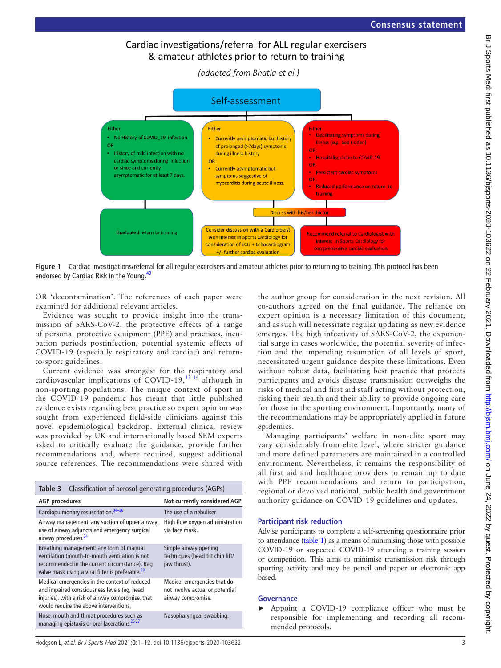# Cardiac investigations/referral for ALL regular exercisers & amateur athletes prior to return to training

(adapted from Bhatia et al.)



**Figure 1** Cardiac investigations/referral for all regular exercisers and amateur athletes prior to returning to training. This protocol has been endorsed by Cardiac Risk in the Young.<sup>49</sup>

OR 'decontamination'. The references of each paper were examined for additional relevant articles.

Evidence was sought to provide insight into the transmission of SARS-CoV-2, the protective effects of a range of personal protective equipment (PPE) and practices, incubation periods postinfection, potential systemic effects of COVID-19 (especially respiratory and cardiac) and returnto-sport guidelines.

Current evidence was strongest for the respiratory and cardiovascular implications of COVID-19,<sup>13-14</sup> although in non-sporting populations. The unique context of sport in the COVID-19 pandemic has meant that little published evidence exists regarding best practice so expert opinion was sought from experienced field-side clinicians against this novel epidemiological backdrop. External clinical review was provided by UK and internationally based SEM experts asked to critically evaluate the guidance, provide further recommendations and, where required, suggest additional source references. The recommendations were shared with

<span id="page-2-1"></span>

| Classification of aerosol-generating procedures (AGPs)<br>Table 3                                                                                                                                           |                                                                                      |  |  |
|-------------------------------------------------------------------------------------------------------------------------------------------------------------------------------------------------------------|--------------------------------------------------------------------------------------|--|--|
| <b>AGP</b> procedures                                                                                                                                                                                       | Not currently considered AGP                                                         |  |  |
| Cardiopulmonary resuscitation. <sup>34-36</sup>                                                                                                                                                             | The use of a nebuliser.                                                              |  |  |
| Airway management: any suction of upper airway,<br>High flow oxygen administration<br>use of airway adjuncts and emergency surgical<br>via face mask.<br>airway procedures. <sup>34</sup>                   |                                                                                      |  |  |
| Breathing management: any form of manual<br>ventilation (mouth-to-mouth ventilation is not<br>recommended in the current circumstance). Bag<br>valve mask using a viral filter is preferable. <sup>50</sup> | Simple airway opening<br>techniques (head tilt chin lift/<br>jaw thrust).            |  |  |
| Medical emergencies in the context of reduced<br>and impaired consciousness levels (eq, head<br>injuries), with a risk of airway compromise, that<br>would require the above interventions.                 | Medical emergencies that do<br>not involve actual or potential<br>airway compromise. |  |  |
| Nose, mouth and throat procedures such as<br>managing epistaxis or oral lacerations. <sup>26,27</sup>                                                                                                       | Nasopharyngeal swabbing.                                                             |  |  |

<span id="page-2-0"></span>the author group for consideration in the next revision. All co-authors agreed on the final guidance. The reliance on expert opinion is a necessary limitation of this document, and as such will necessitate regular updating as new evidence emerges. The high infectivity of SARS-CoV-2, the exponential surge in cases worldwide, the potential severity of infection and the impending resumption of all levels of sport, necessitated urgent guidance despite these limitations. Even without robust data, facilitating best practice that protects participants and avoids disease transmission outweighs the risks of medical and first aid staff acting without protection, risking their health and their ability to provide ongoing care for those in the sporting environment. Importantly, many of the recommendations may be appropriately applied in future epidemics.

Managing participants' welfare in non-elite sport may vary considerably from elite level, where stricter guidance and more defined parameters are maintained in a controlled environment. Nevertheless, it remains the responsibility of all first aid and healthcare providers to remain up to date with PPE recommendations and return to participation, regional or devolved national, public health and government authority guidance on COVID-19 guidelines and updates.

#### **Participant risk reduction**

Advise participants to complete a self-screening questionnaire prior to attendance [\(table](#page-1-0) 1) as a means of minimising those with possible COVID-19 or suspected COVID-19 attending a training session or competition. This aims to minimise transmission risk through sporting activity and may be pencil and paper or electronic app based.

#### **Governance**

► Appoint a COVID-19 compliance officer who must be responsible for implementing and recording all recommended protocols.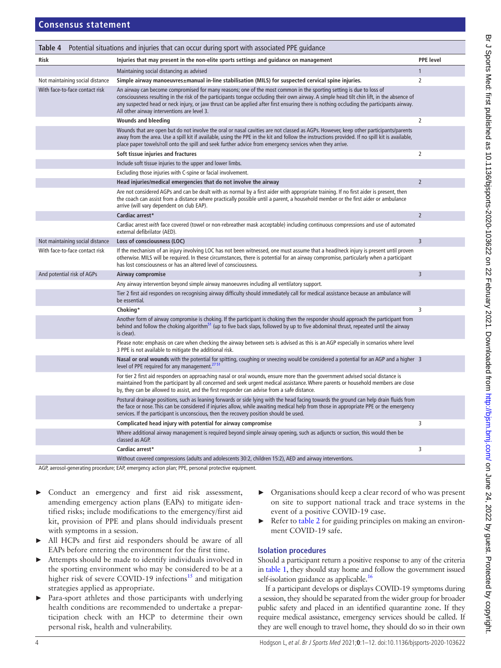<span id="page-3-0"></span>

| <b>PPE</b> level<br><b>Risk</b><br>Injuries that may present in the non-elite sports settings and guidance on management<br>Maintaining social distancing as advised<br>1<br>Simple airway manoeuvres±manual in-line stabilisation (MILS) for suspected cervical spine injuries.<br>$\overline{2}$<br>Not maintaining social distance<br>With face-to-face contact risk<br>An airway can become compromised for many reasons; one of the most common in the sporting setting is due to loss of<br>consciousness resulting in the risk of the participants tonque occluding their own airway. A simple head tilt chin lift, in the absence of<br>any suspected head or neck injury, or jaw thrust can be applied after first ensuring there is nothing occluding the participants airway.<br>All other airway interventions are level 3.<br>$\overline{2}$<br><b>Wounds and bleeding</b><br>Wounds that are open but do not involve the oral or nasal cavities are not classed as AGPs. However, keep other participants/parents<br>away from the area. Use a spill kit if available, using the PPE in the kit and follow the instructions provided. If no spill kit is available,<br>place paper towels/roll onto the spill and seek further advice from emergency services when they arrive.<br>$\overline{2}$<br>Soft tissue injuries and fractures<br>Include soft tissue injuries to the upper and lower limbs.<br>Excluding those injuries with C-spine or facial involvement.<br>Head injuries/medical emergencies that do not involve the airway<br>$\overline{2}$<br>Are not considered AGPs and can be dealt with as normal by a first aider with appropriate training. If no first aider is present, then<br>the coach can assist from a distance where practically possible until a parent, a household member or the first aider or ambulance<br>arrive (will vary dependent on club EAP).<br>Cardiac arrest*<br>$\overline{2}$<br>Cardiac arrest with face covered (towel or non-rebreather mask acceptable) including continuous compressions and use of automated<br>external defibrilator (AED).<br>Not maintaining social distance<br>Loss of consciousness (LOC)<br>$\overline{3}$<br>With face-to-face contact risk<br>If the mechanism of an injury involving LOC has not been witnessed, one must assume that a head/neck injury is present until proven<br>otherwise. MILS will be required. In these circumstances, there is potential for an airway compromise, particularly when a participant<br>has lost consciousness or has an altered level of consciousness.<br>$\overline{3}$<br>And potential risk of AGPs<br>Airway compromise<br>Any airway intervention beyond simple airway manoeuvres including all ventilatory support.<br>Tier 2 first aid responders on recognising airway difficulty should immediately call for medical assistance because an ambulance will<br>be essential.<br>Choking*<br>3<br>Another form of airway compromise is choking. If the participant is choking then the responder should approach the participant from<br>behind and follow the choking algorithm <sup>51</sup> (up to five back slaps, followed by up to five abdominal thrust, repeated until the airway<br>is clear).<br>Please note: emphasis on care when checking the airway between sets is advised as this is an AGP especially in scenarios where level<br>3 PPE is not available to mitigate the additional risk.<br>Nasal or oral wounds with the potential for spitting, coughing or sneezing would be considered a potential for an AGP and a higher 3<br>level of PPE required for any management. <sup>2751</sup><br>For tier 2 first aid responders on approaching nasal or oral wounds, ensure more than the government advised social distance is<br>maintained from the participant by all concerned and seek urgent medical assistance. Where parents or household members are close<br>by, they can be allowed to assist, and the first responder can advise from a safe distance.<br>Postural drainage positions, such as leaning forwards or side lying with the head facing towards the ground can help drain fluids from<br>the face or nose. This can be considered if injuries allow, while awaiting medical help from those in appropriate PPE or the emergency<br>services. If the participant is unconscious, then the recovery position should be used.<br>3<br>Complicated head injury with potential for airway compromise<br>Where additional airway management is required beyond simple airway opening, such as adjuncts or suction, this would then be<br>classed as AGP.<br>Cardiac arrest*<br>3<br>Without covered compressions (adults and adolescents 30:2, children 15:2), AED and airway interventions. | Table 4 | Potential situations and injuries that can occur during sport with associated PPE guidance |  |
|------------------------------------------------------------------------------------------------------------------------------------------------------------------------------------------------------------------------------------------------------------------------------------------------------------------------------------------------------------------------------------------------------------------------------------------------------------------------------------------------------------------------------------------------------------------------------------------------------------------------------------------------------------------------------------------------------------------------------------------------------------------------------------------------------------------------------------------------------------------------------------------------------------------------------------------------------------------------------------------------------------------------------------------------------------------------------------------------------------------------------------------------------------------------------------------------------------------------------------------------------------------------------------------------------------------------------------------------------------------------------------------------------------------------------------------------------------------------------------------------------------------------------------------------------------------------------------------------------------------------------------------------------------------------------------------------------------------------------------------------------------------------------------------------------------------------------------------------------------------------------------------------------------------------------------------------------------------------------------------------------------------------------------------------------------------------------------------------------------------------------------------------------------------------------------------------------------------------------------------------------------------------------------------------------------------------------------------------------------------------------------------------------------------------------------------------------------------------------------------------------------------------------------------------------------------------------------------------------------------------------------------------------------------------------------------------------------------------------------------------------------------------------------------------------------------------------------------------------------------------------------------------------------------------------------------------------------------------------------------------------------------------------------------------------------------------------------------------------------------------------------------------------------------------------------------------------------------------------------------------------------------------------------------------------------------------------------------------------------------------------------------------------------------------------------------------------------------------------------------------------------------------------------------------------------------------------------------------------------------------------------------------------------------------------------------------------------------------------------------------------------------------------------------------------------------------------------------------------------------------------------------------------------------------------------------------------------------------------------------------------------------------------------------------------------------------------------------------------------------------------------------------------------------------------------------------------------------------------------------------------------------------------------------------------------------------------------------------------------------------------------------------------------------------------------------------------------------------------------------------------------------------------------------------------------------------------------------------------------------------------------------------------------------------------------------------------------------------------------------------------------------------------|---------|--------------------------------------------------------------------------------------------|--|
|                                                                                                                                                                                                                                                                                                                                                                                                                                                                                                                                                                                                                                                                                                                                                                                                                                                                                                                                                                                                                                                                                                                                                                                                                                                                                                                                                                                                                                                                                                                                                                                                                                                                                                                                                                                                                                                                                                                                                                                                                                                                                                                                                                                                                                                                                                                                                                                                                                                                                                                                                                                                                                                                                                                                                                                                                                                                                                                                                                                                                                                                                                                                                                                                                                                                                                                                                                                                                                                                                                                                                                                                                                                                                                                                                                                                                                                                                                                                                                                                                                                                                                                                                                                                                                                                                                                                                                                                                                                                                                                                                                                                                                                                                                                                                                              |         |                                                                                            |  |
|                                                                                                                                                                                                                                                                                                                                                                                                                                                                                                                                                                                                                                                                                                                                                                                                                                                                                                                                                                                                                                                                                                                                                                                                                                                                                                                                                                                                                                                                                                                                                                                                                                                                                                                                                                                                                                                                                                                                                                                                                                                                                                                                                                                                                                                                                                                                                                                                                                                                                                                                                                                                                                                                                                                                                                                                                                                                                                                                                                                                                                                                                                                                                                                                                                                                                                                                                                                                                                                                                                                                                                                                                                                                                                                                                                                                                                                                                                                                                                                                                                                                                                                                                                                                                                                                                                                                                                                                                                                                                                                                                                                                                                                                                                                                                                              |         |                                                                                            |  |
|                                                                                                                                                                                                                                                                                                                                                                                                                                                                                                                                                                                                                                                                                                                                                                                                                                                                                                                                                                                                                                                                                                                                                                                                                                                                                                                                                                                                                                                                                                                                                                                                                                                                                                                                                                                                                                                                                                                                                                                                                                                                                                                                                                                                                                                                                                                                                                                                                                                                                                                                                                                                                                                                                                                                                                                                                                                                                                                                                                                                                                                                                                                                                                                                                                                                                                                                                                                                                                                                                                                                                                                                                                                                                                                                                                                                                                                                                                                                                                                                                                                                                                                                                                                                                                                                                                                                                                                                                                                                                                                                                                                                                                                                                                                                                                              |         |                                                                                            |  |
|                                                                                                                                                                                                                                                                                                                                                                                                                                                                                                                                                                                                                                                                                                                                                                                                                                                                                                                                                                                                                                                                                                                                                                                                                                                                                                                                                                                                                                                                                                                                                                                                                                                                                                                                                                                                                                                                                                                                                                                                                                                                                                                                                                                                                                                                                                                                                                                                                                                                                                                                                                                                                                                                                                                                                                                                                                                                                                                                                                                                                                                                                                                                                                                                                                                                                                                                                                                                                                                                                                                                                                                                                                                                                                                                                                                                                                                                                                                                                                                                                                                                                                                                                                                                                                                                                                                                                                                                                                                                                                                                                                                                                                                                                                                                                                              |         |                                                                                            |  |
|                                                                                                                                                                                                                                                                                                                                                                                                                                                                                                                                                                                                                                                                                                                                                                                                                                                                                                                                                                                                                                                                                                                                                                                                                                                                                                                                                                                                                                                                                                                                                                                                                                                                                                                                                                                                                                                                                                                                                                                                                                                                                                                                                                                                                                                                                                                                                                                                                                                                                                                                                                                                                                                                                                                                                                                                                                                                                                                                                                                                                                                                                                                                                                                                                                                                                                                                                                                                                                                                                                                                                                                                                                                                                                                                                                                                                                                                                                                                                                                                                                                                                                                                                                                                                                                                                                                                                                                                                                                                                                                                                                                                                                                                                                                                                                              |         |                                                                                            |  |
|                                                                                                                                                                                                                                                                                                                                                                                                                                                                                                                                                                                                                                                                                                                                                                                                                                                                                                                                                                                                                                                                                                                                                                                                                                                                                                                                                                                                                                                                                                                                                                                                                                                                                                                                                                                                                                                                                                                                                                                                                                                                                                                                                                                                                                                                                                                                                                                                                                                                                                                                                                                                                                                                                                                                                                                                                                                                                                                                                                                                                                                                                                                                                                                                                                                                                                                                                                                                                                                                                                                                                                                                                                                                                                                                                                                                                                                                                                                                                                                                                                                                                                                                                                                                                                                                                                                                                                                                                                                                                                                                                                                                                                                                                                                                                                              |         |                                                                                            |  |
|                                                                                                                                                                                                                                                                                                                                                                                                                                                                                                                                                                                                                                                                                                                                                                                                                                                                                                                                                                                                                                                                                                                                                                                                                                                                                                                                                                                                                                                                                                                                                                                                                                                                                                                                                                                                                                                                                                                                                                                                                                                                                                                                                                                                                                                                                                                                                                                                                                                                                                                                                                                                                                                                                                                                                                                                                                                                                                                                                                                                                                                                                                                                                                                                                                                                                                                                                                                                                                                                                                                                                                                                                                                                                                                                                                                                                                                                                                                                                                                                                                                                                                                                                                                                                                                                                                                                                                                                                                                                                                                                                                                                                                                                                                                                                                              |         |                                                                                            |  |
|                                                                                                                                                                                                                                                                                                                                                                                                                                                                                                                                                                                                                                                                                                                                                                                                                                                                                                                                                                                                                                                                                                                                                                                                                                                                                                                                                                                                                                                                                                                                                                                                                                                                                                                                                                                                                                                                                                                                                                                                                                                                                                                                                                                                                                                                                                                                                                                                                                                                                                                                                                                                                                                                                                                                                                                                                                                                                                                                                                                                                                                                                                                                                                                                                                                                                                                                                                                                                                                                                                                                                                                                                                                                                                                                                                                                                                                                                                                                                                                                                                                                                                                                                                                                                                                                                                                                                                                                                                                                                                                                                                                                                                                                                                                                                                              |         |                                                                                            |  |
|                                                                                                                                                                                                                                                                                                                                                                                                                                                                                                                                                                                                                                                                                                                                                                                                                                                                                                                                                                                                                                                                                                                                                                                                                                                                                                                                                                                                                                                                                                                                                                                                                                                                                                                                                                                                                                                                                                                                                                                                                                                                                                                                                                                                                                                                                                                                                                                                                                                                                                                                                                                                                                                                                                                                                                                                                                                                                                                                                                                                                                                                                                                                                                                                                                                                                                                                                                                                                                                                                                                                                                                                                                                                                                                                                                                                                                                                                                                                                                                                                                                                                                                                                                                                                                                                                                                                                                                                                                                                                                                                                                                                                                                                                                                                                                              |         |                                                                                            |  |
|                                                                                                                                                                                                                                                                                                                                                                                                                                                                                                                                                                                                                                                                                                                                                                                                                                                                                                                                                                                                                                                                                                                                                                                                                                                                                                                                                                                                                                                                                                                                                                                                                                                                                                                                                                                                                                                                                                                                                                                                                                                                                                                                                                                                                                                                                                                                                                                                                                                                                                                                                                                                                                                                                                                                                                                                                                                                                                                                                                                                                                                                                                                                                                                                                                                                                                                                                                                                                                                                                                                                                                                                                                                                                                                                                                                                                                                                                                                                                                                                                                                                                                                                                                                                                                                                                                                                                                                                                                                                                                                                                                                                                                                                                                                                                                              |         |                                                                                            |  |
|                                                                                                                                                                                                                                                                                                                                                                                                                                                                                                                                                                                                                                                                                                                                                                                                                                                                                                                                                                                                                                                                                                                                                                                                                                                                                                                                                                                                                                                                                                                                                                                                                                                                                                                                                                                                                                                                                                                                                                                                                                                                                                                                                                                                                                                                                                                                                                                                                                                                                                                                                                                                                                                                                                                                                                                                                                                                                                                                                                                                                                                                                                                                                                                                                                                                                                                                                                                                                                                                                                                                                                                                                                                                                                                                                                                                                                                                                                                                                                                                                                                                                                                                                                                                                                                                                                                                                                                                                                                                                                                                                                                                                                                                                                                                                                              |         |                                                                                            |  |
|                                                                                                                                                                                                                                                                                                                                                                                                                                                                                                                                                                                                                                                                                                                                                                                                                                                                                                                                                                                                                                                                                                                                                                                                                                                                                                                                                                                                                                                                                                                                                                                                                                                                                                                                                                                                                                                                                                                                                                                                                                                                                                                                                                                                                                                                                                                                                                                                                                                                                                                                                                                                                                                                                                                                                                                                                                                                                                                                                                                                                                                                                                                                                                                                                                                                                                                                                                                                                                                                                                                                                                                                                                                                                                                                                                                                                                                                                                                                                                                                                                                                                                                                                                                                                                                                                                                                                                                                                                                                                                                                                                                                                                                                                                                                                                              |         |                                                                                            |  |
|                                                                                                                                                                                                                                                                                                                                                                                                                                                                                                                                                                                                                                                                                                                                                                                                                                                                                                                                                                                                                                                                                                                                                                                                                                                                                                                                                                                                                                                                                                                                                                                                                                                                                                                                                                                                                                                                                                                                                                                                                                                                                                                                                                                                                                                                                                                                                                                                                                                                                                                                                                                                                                                                                                                                                                                                                                                                                                                                                                                                                                                                                                                                                                                                                                                                                                                                                                                                                                                                                                                                                                                                                                                                                                                                                                                                                                                                                                                                                                                                                                                                                                                                                                                                                                                                                                                                                                                                                                                                                                                                                                                                                                                                                                                                                                              |         |                                                                                            |  |
|                                                                                                                                                                                                                                                                                                                                                                                                                                                                                                                                                                                                                                                                                                                                                                                                                                                                                                                                                                                                                                                                                                                                                                                                                                                                                                                                                                                                                                                                                                                                                                                                                                                                                                                                                                                                                                                                                                                                                                                                                                                                                                                                                                                                                                                                                                                                                                                                                                                                                                                                                                                                                                                                                                                                                                                                                                                                                                                                                                                                                                                                                                                                                                                                                                                                                                                                                                                                                                                                                                                                                                                                                                                                                                                                                                                                                                                                                                                                                                                                                                                                                                                                                                                                                                                                                                                                                                                                                                                                                                                                                                                                                                                                                                                                                                              |         |                                                                                            |  |
|                                                                                                                                                                                                                                                                                                                                                                                                                                                                                                                                                                                                                                                                                                                                                                                                                                                                                                                                                                                                                                                                                                                                                                                                                                                                                                                                                                                                                                                                                                                                                                                                                                                                                                                                                                                                                                                                                                                                                                                                                                                                                                                                                                                                                                                                                                                                                                                                                                                                                                                                                                                                                                                                                                                                                                                                                                                                                                                                                                                                                                                                                                                                                                                                                                                                                                                                                                                                                                                                                                                                                                                                                                                                                                                                                                                                                                                                                                                                                                                                                                                                                                                                                                                                                                                                                                                                                                                                                                                                                                                                                                                                                                                                                                                                                                              |         |                                                                                            |  |
|                                                                                                                                                                                                                                                                                                                                                                                                                                                                                                                                                                                                                                                                                                                                                                                                                                                                                                                                                                                                                                                                                                                                                                                                                                                                                                                                                                                                                                                                                                                                                                                                                                                                                                                                                                                                                                                                                                                                                                                                                                                                                                                                                                                                                                                                                                                                                                                                                                                                                                                                                                                                                                                                                                                                                                                                                                                                                                                                                                                                                                                                                                                                                                                                                                                                                                                                                                                                                                                                                                                                                                                                                                                                                                                                                                                                                                                                                                                                                                                                                                                                                                                                                                                                                                                                                                                                                                                                                                                                                                                                                                                                                                                                                                                                                                              |         |                                                                                            |  |
|                                                                                                                                                                                                                                                                                                                                                                                                                                                                                                                                                                                                                                                                                                                                                                                                                                                                                                                                                                                                                                                                                                                                                                                                                                                                                                                                                                                                                                                                                                                                                                                                                                                                                                                                                                                                                                                                                                                                                                                                                                                                                                                                                                                                                                                                                                                                                                                                                                                                                                                                                                                                                                                                                                                                                                                                                                                                                                                                                                                                                                                                                                                                                                                                                                                                                                                                                                                                                                                                                                                                                                                                                                                                                                                                                                                                                                                                                                                                                                                                                                                                                                                                                                                                                                                                                                                                                                                                                                                                                                                                                                                                                                                                                                                                                                              |         |                                                                                            |  |
|                                                                                                                                                                                                                                                                                                                                                                                                                                                                                                                                                                                                                                                                                                                                                                                                                                                                                                                                                                                                                                                                                                                                                                                                                                                                                                                                                                                                                                                                                                                                                                                                                                                                                                                                                                                                                                                                                                                                                                                                                                                                                                                                                                                                                                                                                                                                                                                                                                                                                                                                                                                                                                                                                                                                                                                                                                                                                                                                                                                                                                                                                                                                                                                                                                                                                                                                                                                                                                                                                                                                                                                                                                                                                                                                                                                                                                                                                                                                                                                                                                                                                                                                                                                                                                                                                                                                                                                                                                                                                                                                                                                                                                                                                                                                                                              |         |                                                                                            |  |
|                                                                                                                                                                                                                                                                                                                                                                                                                                                                                                                                                                                                                                                                                                                                                                                                                                                                                                                                                                                                                                                                                                                                                                                                                                                                                                                                                                                                                                                                                                                                                                                                                                                                                                                                                                                                                                                                                                                                                                                                                                                                                                                                                                                                                                                                                                                                                                                                                                                                                                                                                                                                                                                                                                                                                                                                                                                                                                                                                                                                                                                                                                                                                                                                                                                                                                                                                                                                                                                                                                                                                                                                                                                                                                                                                                                                                                                                                                                                                                                                                                                                                                                                                                                                                                                                                                                                                                                                                                                                                                                                                                                                                                                                                                                                                                              |         |                                                                                            |  |
|                                                                                                                                                                                                                                                                                                                                                                                                                                                                                                                                                                                                                                                                                                                                                                                                                                                                                                                                                                                                                                                                                                                                                                                                                                                                                                                                                                                                                                                                                                                                                                                                                                                                                                                                                                                                                                                                                                                                                                                                                                                                                                                                                                                                                                                                                                                                                                                                                                                                                                                                                                                                                                                                                                                                                                                                                                                                                                                                                                                                                                                                                                                                                                                                                                                                                                                                                                                                                                                                                                                                                                                                                                                                                                                                                                                                                                                                                                                                                                                                                                                                                                                                                                                                                                                                                                                                                                                                                                                                                                                                                                                                                                                                                                                                                                              |         |                                                                                            |  |
|                                                                                                                                                                                                                                                                                                                                                                                                                                                                                                                                                                                                                                                                                                                                                                                                                                                                                                                                                                                                                                                                                                                                                                                                                                                                                                                                                                                                                                                                                                                                                                                                                                                                                                                                                                                                                                                                                                                                                                                                                                                                                                                                                                                                                                                                                                                                                                                                                                                                                                                                                                                                                                                                                                                                                                                                                                                                                                                                                                                                                                                                                                                                                                                                                                                                                                                                                                                                                                                                                                                                                                                                                                                                                                                                                                                                                                                                                                                                                                                                                                                                                                                                                                                                                                                                                                                                                                                                                                                                                                                                                                                                                                                                                                                                                                              |         |                                                                                            |  |
|                                                                                                                                                                                                                                                                                                                                                                                                                                                                                                                                                                                                                                                                                                                                                                                                                                                                                                                                                                                                                                                                                                                                                                                                                                                                                                                                                                                                                                                                                                                                                                                                                                                                                                                                                                                                                                                                                                                                                                                                                                                                                                                                                                                                                                                                                                                                                                                                                                                                                                                                                                                                                                                                                                                                                                                                                                                                                                                                                                                                                                                                                                                                                                                                                                                                                                                                                                                                                                                                                                                                                                                                                                                                                                                                                                                                                                                                                                                                                                                                                                                                                                                                                                                                                                                                                                                                                                                                                                                                                                                                                                                                                                                                                                                                                                              |         |                                                                                            |  |
|                                                                                                                                                                                                                                                                                                                                                                                                                                                                                                                                                                                                                                                                                                                                                                                                                                                                                                                                                                                                                                                                                                                                                                                                                                                                                                                                                                                                                                                                                                                                                                                                                                                                                                                                                                                                                                                                                                                                                                                                                                                                                                                                                                                                                                                                                                                                                                                                                                                                                                                                                                                                                                                                                                                                                                                                                                                                                                                                                                                                                                                                                                                                                                                                                                                                                                                                                                                                                                                                                                                                                                                                                                                                                                                                                                                                                                                                                                                                                                                                                                                                                                                                                                                                                                                                                                                                                                                                                                                                                                                                                                                                                                                                                                                                                                              |         |                                                                                            |  |
|                                                                                                                                                                                                                                                                                                                                                                                                                                                                                                                                                                                                                                                                                                                                                                                                                                                                                                                                                                                                                                                                                                                                                                                                                                                                                                                                                                                                                                                                                                                                                                                                                                                                                                                                                                                                                                                                                                                                                                                                                                                                                                                                                                                                                                                                                                                                                                                                                                                                                                                                                                                                                                                                                                                                                                                                                                                                                                                                                                                                                                                                                                                                                                                                                                                                                                                                                                                                                                                                                                                                                                                                                                                                                                                                                                                                                                                                                                                                                                                                                                                                                                                                                                                                                                                                                                                                                                                                                                                                                                                                                                                                                                                                                                                                                                              |         |                                                                                            |  |
|                                                                                                                                                                                                                                                                                                                                                                                                                                                                                                                                                                                                                                                                                                                                                                                                                                                                                                                                                                                                                                                                                                                                                                                                                                                                                                                                                                                                                                                                                                                                                                                                                                                                                                                                                                                                                                                                                                                                                                                                                                                                                                                                                                                                                                                                                                                                                                                                                                                                                                                                                                                                                                                                                                                                                                                                                                                                                                                                                                                                                                                                                                                                                                                                                                                                                                                                                                                                                                                                                                                                                                                                                                                                                                                                                                                                                                                                                                                                                                                                                                                                                                                                                                                                                                                                                                                                                                                                                                                                                                                                                                                                                                                                                                                                                                              |         |                                                                                            |  |
|                                                                                                                                                                                                                                                                                                                                                                                                                                                                                                                                                                                                                                                                                                                                                                                                                                                                                                                                                                                                                                                                                                                                                                                                                                                                                                                                                                                                                                                                                                                                                                                                                                                                                                                                                                                                                                                                                                                                                                                                                                                                                                                                                                                                                                                                                                                                                                                                                                                                                                                                                                                                                                                                                                                                                                                                                                                                                                                                                                                                                                                                                                                                                                                                                                                                                                                                                                                                                                                                                                                                                                                                                                                                                                                                                                                                                                                                                                                                                                                                                                                                                                                                                                                                                                                                                                                                                                                                                                                                                                                                                                                                                                                                                                                                                                              |         |                                                                                            |  |
|                                                                                                                                                                                                                                                                                                                                                                                                                                                                                                                                                                                                                                                                                                                                                                                                                                                                                                                                                                                                                                                                                                                                                                                                                                                                                                                                                                                                                                                                                                                                                                                                                                                                                                                                                                                                                                                                                                                                                                                                                                                                                                                                                                                                                                                                                                                                                                                                                                                                                                                                                                                                                                                                                                                                                                                                                                                                                                                                                                                                                                                                                                                                                                                                                                                                                                                                                                                                                                                                                                                                                                                                                                                                                                                                                                                                                                                                                                                                                                                                                                                                                                                                                                                                                                                                                                                                                                                                                                                                                                                                                                                                                                                                                                                                                                              |         |                                                                                            |  |
|                                                                                                                                                                                                                                                                                                                                                                                                                                                                                                                                                                                                                                                                                                                                                                                                                                                                                                                                                                                                                                                                                                                                                                                                                                                                                                                                                                                                                                                                                                                                                                                                                                                                                                                                                                                                                                                                                                                                                                                                                                                                                                                                                                                                                                                                                                                                                                                                                                                                                                                                                                                                                                                                                                                                                                                                                                                                                                                                                                                                                                                                                                                                                                                                                                                                                                                                                                                                                                                                                                                                                                                                                                                                                                                                                                                                                                                                                                                                                                                                                                                                                                                                                                                                                                                                                                                                                                                                                                                                                                                                                                                                                                                                                                                                                                              |         |                                                                                            |  |

AGP, aerosol-generating procedure; EAP, emergency action plan; PPE, personal protective equipment.

- ► Conduct an emergency and first aid risk assessment, amending emergency action plans (EAPs) to mitigate identified risks; include modifications to the emergency/first aid kit, provision of PPE and plans should individuals present with symptoms in a session.
- All HCPs and first aid responders should be aware of all EAPs before entering the environment for the first time.
- ► Attempts should be made to identify individuals involved in the sporting environment who may be considered to be at a higher risk of severe COVID-19 infections<sup>[15](#page-10-17)</sup> and mitigation strategies applied as appropriate.
- ► Para-sport athletes and those participants with underlying health conditions are recommended to undertake a preparticipation check with an HCP to determine their own personal risk, health and vulnerability.
- ► Organisations should keep a clear record of who was present on site to support national track and trace systems in the event of a positive COVID-19 case.
- ► Refer to [table](#page-1-1) 2 for guiding principles on making an environment COVID-19 safe.

## **Isolation procedures**

Should a participant return a positive response to any of the criteria in [table](#page-1-0) 1, they should stay home and follow the government issued self-isolation guidance as applicable.<sup>16</sup>

If a participant develops or displays COVID-19 symptoms during a session, they should be separated from the wider group for broader public safety and placed in an identified quarantine zone. If they require medical assistance, emergency services should be called. If they are well enough to travel home, they should do so in their own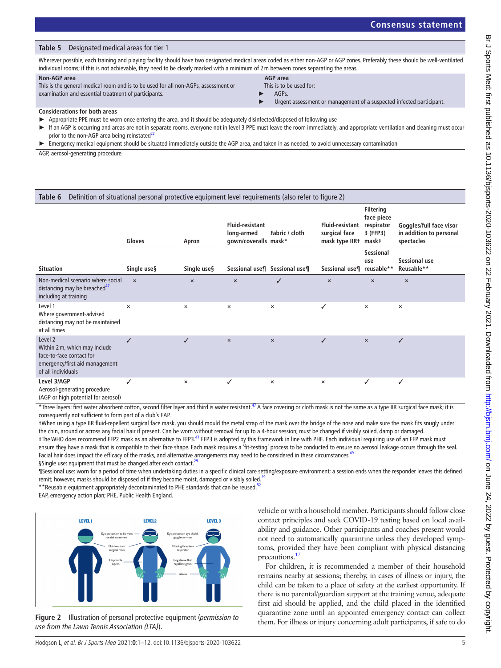#### <span id="page-4-2"></span>**Table 5** Designated medical areas for tier 1

Wherever possible, each training and playing facility should have two designated medical areas coded as either non-AGP or AGP zones. Preferably these should be well-ventilated individual rooms; if this is not achievable, they need to be clearly marked with a minimum of 2m between zones separating the areas.

#### **Non-AGP area**

This is the general medical room and is to be used for all non-AGPs, assessment or examination and essential treatment of participants.

**AGP area**

This is to be used for:

► AGPs.

#### **Considerations for both areas**

- Appropriate PPE must be worn once entering the area, and it should be adequately disinfected/disposed of following use
- ► If an AGP is occurring and areas are not in separate rooms, everyone not in level 3 PPE must leave the room immediately, and appropriate ventilation and cleaning must occur prior to the non-AGP area being reinstated $^{22}$
- Emergency medical equipment should be situated immediately outside the AGP area, and taken in as needed, to avoid unnecessary contamination

AGP, aerosol-generating procedure.

#### <span id="page-4-0"></span>**Table 6** Definition of situational personal protective equipment level requirements (also refer to [figure 2\)](#page-4-1)

|                                                                                                                                         | Gloves      | Apron                     | <b>Fluid-resistant</b><br>Fabric / cloth<br>long-armed<br>gown/coveralls mask* |                               | <b>Fluid-resistant</b><br>surgical face<br>mask type IIR+ | <b>Filtering</b><br>face piece<br>respirator<br>3 (FFP3)<br>mask‡ | Goggles/full face visor<br>in addition to personal<br>spectacles |  |
|-----------------------------------------------------------------------------------------------------------------------------------------|-------------|---------------------------|--------------------------------------------------------------------------------|-------------------------------|-----------------------------------------------------------|-------------------------------------------------------------------|------------------------------------------------------------------|--|
| <b>Situation</b>                                                                                                                        | Single use§ | Single use§               |                                                                                | Sessional use¶ Sessional use¶ | Sessional use¶ reusable**                                 | <b>Sessional</b><br>use                                           | Sessional use<br>Reusable**                                      |  |
| Non-medical scenario where social<br>distancing may be breached <sup>47</sup><br>including at training                                  | $\times$    | $\boldsymbol{\mathsf{x}}$ | $\pmb{\times}$                                                                 | ✓                             | $\times$                                                  | $\times$                                                          | $\times$                                                         |  |
| Level 1<br>Where government-advised<br>distancing may not be maintained<br>at all times                                                 | $\times$    | $\times$                  | ×                                                                              | $\pmb{\times}$                | ✓                                                         | $\boldsymbol{\mathsf{x}}$                                         | $\times$                                                         |  |
| Level <sub>2</sub><br>Within 2 m, which may include<br>face-to-face contact for<br>emergency/first aid management<br>of all individuals | ✓           | ✓                         | $\pmb{\times}$                                                                 | $\times$                      | ✓                                                         | $\pmb{\times}$                                                    | ✓                                                                |  |
| Level 3/AGP<br>Aerosol-generating procedure<br>(AGP or high notential for aerosol)                                                      | ✓           | ×                         | ✓                                                                              | $\pmb{\times}$                | ×                                                         | ✓                                                                 | ✓                                                                |  |

' or high potential for aerosol)

\*Three layers: first water absorbent cotton, second filter layer and third is water resistant.<sup>[47](#page-11-0)</sup> A face covering or cloth mask is not the same as a type IIR surgical face mask; it is consequently not sufficient to form part of a club's EAP.

†When using a type IIR fluid-repellent surgical face mask, you should mould the metal strap of the mask over the bridge of the nose and make sure the mask fits snugly under the chin, around or across any facial hair if present. Can be worn without removal for up to a 4-hour session; must be changed if visibly soiled, damp or damaged. ‡The WHO does recommend FFP2 mask as an alternative to FFP3[.47](#page-11-0) FFP3 is adopted by this framework in line with PHE. Each individual requiring use of an FFP mask must ensure they have a mask that is compatible to their face shape. Each mask requires a 'fit-testing' process to be conducted to ensure no aerosol leakage occurs through the seal. Facial hair does impact the efficacy of the masks, and alternative arrangements may need to be considered in these circumstances.<sup>49</sup>

§Single use: equipment that must be changed after each contact.<sup>2</sup>

¶Sessional use: worn for a period of time when undertaking duties in a specific clinical care setting/exposure environment; a session ends when the responder leaves this defined remit; however, masks should be disposed of if they become moist, damaged or visibly soiled.<sup>[29](#page-10-21)</sup>

\*\*Reusable equipment appropriately decontaminated to PHE standards that can be reused.<sup>[52](#page-11-4)</sup>

EAP, emergency action plan; PHE, Public Health England.



<span id="page-4-1"></span>**Figure 2** Illustration of personal protective equipment (*permission to use from the Lawn Tennis Association (LTA)*).

vehicle or with a household member. Participants should follow close contact principles and seek COVID-19 testing based on local availability and guidance. Other participants and coaches present would not need to automatically quarantine unless they developed symptoms, provided they have been compliant with physical distancing precautions.<sup>17</sup>

For children, it is recommended a member of their household remains nearby at sessions; thereby, in cases of illness or injury, the child can be taken to a place of safety at the earliest opportunity. If there is no parental/guardian support at the training venue, adequate first aid should be applied, and the child placed in the identified quarantine zone until an appointed emergency contact can collect them. For illness or injury concerning adult participants, if safe to do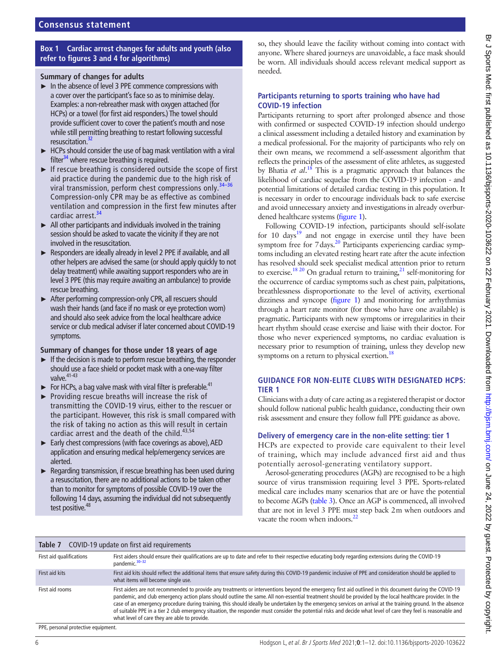## **Box 1 Cardiac arrest changes for adults and youth (also refer to [figures 3 and 4](#page-6-0) for algorithms)**

#### <span id="page-5-1"></span>**Summary of changes for adults**

- ► In the absence of level 3 PPE commence compressions with a cover over the participant's face so as to minimise delay. Examples: a non-rebreather mask with oxygen attached (for HCPs) or a towel (for first aid responders.) The towel should provide sufficient cover to cover the patient's mouth and nose while still permitting breathing to restart following successful resuscitation.<sup>32</sup>
- ► HCPs should consider the use of bag mask ventilation with a viral filter<sup>34</sup> where rescue breathing is required.
- ► If rescue breathing is considered outside the scope of first aid practice during the pandemic due to the high risk of viral transmission, perform chest compressions only.<sup>3</sup> Compression-only CPR may be as effective as combined ventilation and compression in the first few minutes after cardiac arrest.<sup>[34](#page-10-15)</sup>
- $\blacktriangleright$  All other participants and individuals involved in the training session should be asked to vacate the vicinity if they are not involved in the resuscitation.
- ► Responders are ideally already in level 2 PPE if available, and all other helpers are advised the same (or should apply quickly to not delay treatment) while awaiting support responders who are in level 3 PPE (this may require awaiting an ambulance) to provide rescue breathing.
- ► After performing compression-only CPR, all rescuers should wash their hands (and face if no mask or eye protection worn) and should also seek advice from the local healthcare advice service or club medical adviser if later concerned about COVID-19 symptoms.

## **Summary of changes for those under 18 years of age**

- ► If the decision is made to perform rescue breathing, the responder should use a face shield or pocket mask with a one-way filter valve. $41-43$
- $\blacktriangleright$  For HCPs, a bag valve mask with viral filter is preferable.<sup>41</sup>
- ► Providing rescue breaths will increase the risk of transmitting the COVID-19 virus, either to the rescuer or the participant. However, this risk is small compared with the risk of taking no action as this will result in certain cardiac arrest and the death of the child.<sup>43,54</sup>
- ► Early chest compressions (with face coverings as above), AED application and ensuring medical help/emergency services are alerted.
- ► Regarding transmission, if rescue breathing has been used during a resuscitation, there are no additional actions to be taken other than to monitor for symptoms of possible COVID-19 over the following 14 days, assuming the individual did not subsequently test positive.<sup>4</sup>

so, they should leave the facility without coming into contact with anyone. Where shared journeys are unavoidable, a face mask should be worn. All individuals should access relevant medical support as needed.

## **Participants returning to sports training who have had COVID-19 infection**

Participants returning to sport after prolonged absence and those with confirmed or suspected COVID-19 infection should undergo a clinical assessment including a detailed history and examination by a medical professional. For the majority of participants who rely on their own means, we recommend a self-assessment algorithm that reflects the principles of the assessment of elite athletes, as suggested by Bhatia *et al*. [18](#page-10-22) This is a pragmatic approach that balances the likelihood of cardiac sequelae from the COVID-19 infection - and potential limitations of detailed cardiac testing in this population. It is necessary in order to encourage individuals back to safe exercise and avoid unnecessary anxiety and investigations in already overburdened healthcare systems [\(figure](#page-2-0) 1).

Following COVID-19 infection, participants should self-isolate for 10 days<sup>19</sup> and not engage in exercise until they have been symptom free for 7 days.<sup>20</sup> Participants experiencing cardiac symptoms including an elevated resting heart rate after the acute infection has resolved should seek specialist medical attention prior to return to exercise.<sup>[18 20](#page-10-22)</sup> On gradual return to training,<sup>21</sup> self-monitoring for the occurrence of cardiac symptoms such as chest pain, palpitations, breathlessness disproportionate to the level of activity, exertional dizziness and syncope [\(figure](#page-2-0) 1) and monitoring for arrhythmias through a heart rate monitor (for those who have one available) is pragmatic. Participants with new symptoms or irregularities in their heart rhythm should cease exercise and liaise with their doctor. For those who never experienced symptoms, no cardiac evaluation is necessary prior to resumption of training, unless they develop new symptoms on a return to physical exertion.<sup>18</sup>

## **GUIDANCE FOR NON-ELITE CLUBS WITH DESIGNATED HCPS: TIER 1**

Clinicians with a duty of care acting as a registered therapist or doctor should follow national public health guidance, conducting their own risk assessment and ensure they follow full PPE guidance as above.

## **Delivery of emergency care in the non-elite setting: tier 1**

HCPs are expected to provide care equivalent to their level of training, which may include advanced first aid and thus potentially aerosol-generating ventilatory support.

Aerosol-generating procedures (AGPs) are recognised to be a high source of virus transmission requiring level 3 PPE. Sports-related medical care includes many scenarios that are or have the potential to become AGPs ([table](#page-2-1) 3). Once an AGP is commenced, all involved that are not in level 3 PPE must step back 2m when outdoors and vacate the room when indoors. $^{22}$  $^{22}$  $^{22}$ 

#### <span id="page-5-0"></span>**Table 7** COVID-19 update on first aid requirements

| First aid qualifications | First aiders should ensure their qualifications are up to date and refer to their respective educating body regarding extensions during the COVID-19<br>pandemic. <sup>30-32</sup>                                                                                                                                                                                                                                                                                                                                                                                                                                                                                                                         |
|--------------------------|------------------------------------------------------------------------------------------------------------------------------------------------------------------------------------------------------------------------------------------------------------------------------------------------------------------------------------------------------------------------------------------------------------------------------------------------------------------------------------------------------------------------------------------------------------------------------------------------------------------------------------------------------------------------------------------------------------|
| First aid kits           | First aid kits should reflect the additional items that ensure safety during this COVID-19 pandemic inclusive of PPE and consideration should be applied to<br>what items will become single use.                                                                                                                                                                                                                                                                                                                                                                                                                                                                                                          |
| First aid rooms          | First aiders are not recommended to provide any treatments or interventions beyond the emergency first aid outlined in this document during the COVID-19<br>pandemic, and club emergency action plans should outline the same. All non-essential treatment should be provided by the local healthcare provider. In the<br>case of an emergency procedure during training, this should ideally be undertaken by the emergency services on arrival at the training ground. In the absence<br>of suitable PPE in a tier 2 club emergency situation, the responder must consider the potential risks and decide what level of care they feel is reasonable and<br>what level of care they are able to provide. |
| ---                      |                                                                                                                                                                                                                                                                                                                                                                                                                                                                                                                                                                                                                                                                                                            |

PPE, personal protective equipment.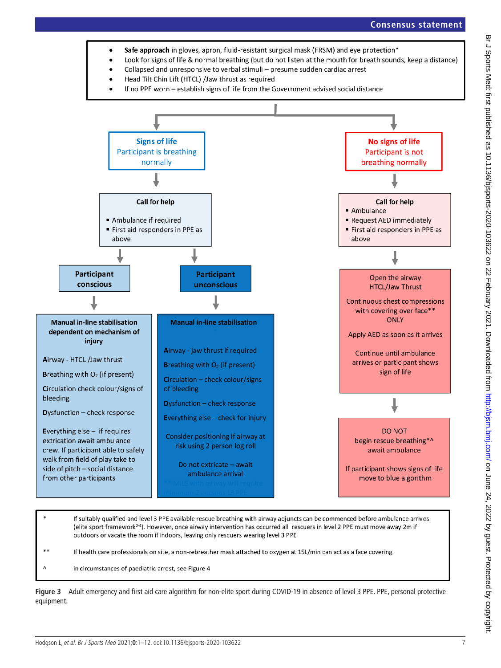



If health care professionals on site, a non-rebreather mask attached to oxygen at 15L/min can act as a face covering.

<span id="page-6-0"></span>in circumstances of paediatric arrest, see Figure 4

**Figure 3** Adult emergency and first aid care algorithm for non-elite sport during COVID-19 in absence of level 3 PPE. PPE, personal protective equipment.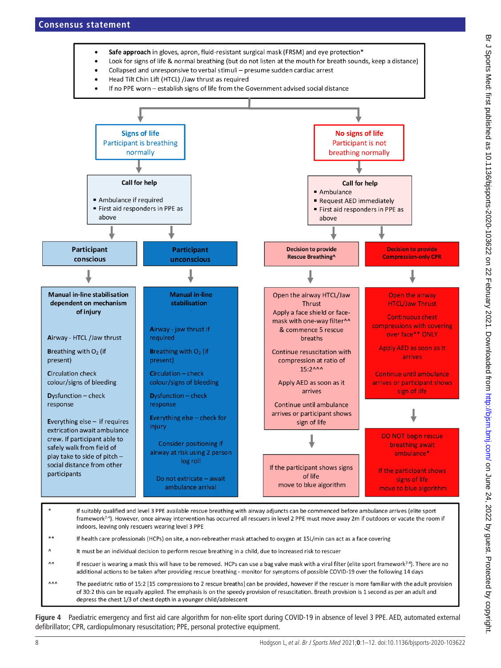

- Look for signs of life & normal breathing (but do not listen at the mouth for breath sounds, keep a distance)
- Collapsed and unresponsive to verbal stimuli presume sudden cardiac arrest
- Head Tilt Chin Lift (HTCL) /Jaw thrust as required
- If no PPE worn establish signs of life from the Government advised social distance



- indoors, leaving only rescuers wearing level 3 PPE
- \*\* If health care professionals (HCPs) on site, a non-rebreather mask attached to oxygen at 15L/min can act as a face covering
- $\Lambda$ It must be an individual decision to perform rescue breathing in a child, due to increased risk to rescuer
- $\Lambda$ If rescuer is wearing a mask this will have to be removed. HCPs can use a bag valve mask with a viral filter (elite sport framework<sup>2-4</sup>). There are no additional actions to be taken after providing rescue breathing - monitor for symptoms of possible COVID-19 over the following 14 days
- $\wedge \wedge \wedge$ The paediatric ratio of 15:2 [15 compressions to 2 rescue breaths] can be provided, however if the rescuer is more familiar with the adult provision of 30:2 this can be equally applied. The emphasis is on the speedy provision of resuscitation. Breath provision is 1 second as per an adult and depress the chest 1/3 of chest depth in a younger child/adolescent

**Figure 4** Paediatric emergency and first aid care algorithm for non-elite sport during COVID-19 in absence of level 3 PPE. AED, automated external defibrillator; CPR, cardiopulmonary resuscitation; PPE, personal protective equipment.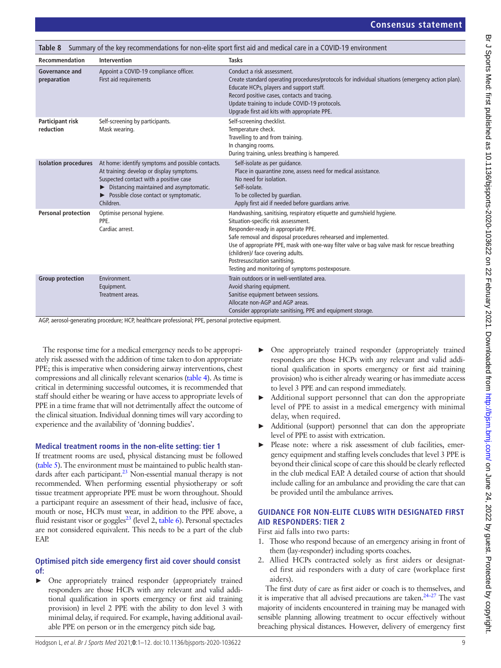<span id="page-8-0"></span>

| Summary of the key recommendations for non-elite sport first aid and medical care in a COVID-19 environment<br>Table 8 |                                                                                                                                                                                                                                                             |                                                                                                                                                                                                                                                                                                                                                                                                                                                   |  |
|------------------------------------------------------------------------------------------------------------------------|-------------------------------------------------------------------------------------------------------------------------------------------------------------------------------------------------------------------------------------------------------------|---------------------------------------------------------------------------------------------------------------------------------------------------------------------------------------------------------------------------------------------------------------------------------------------------------------------------------------------------------------------------------------------------------------------------------------------------|--|
| Recommendation                                                                                                         | Intervention                                                                                                                                                                                                                                                | <b>Tasks</b>                                                                                                                                                                                                                                                                                                                                                                                                                                      |  |
| Governance and<br>preparation                                                                                          | Appoint a COVID-19 compliance officer.<br>First aid requirements                                                                                                                                                                                            | Conduct a risk assessment.<br>Create standard operating procedures/protocols for individual situations (emergency action plan).<br>Educate HCPs, players and support staff.<br>Record positive cases, contacts and tracing.<br>Update training to include COVID-19 protocols.<br>Upgrade first aid kits with appropriate PPE.                                                                                                                     |  |
| Participant risk<br>reduction                                                                                          | Self-screening by participants.<br>Mask wearing.                                                                                                                                                                                                            | Self-screening checklist.<br>Temperature check.<br>Travelling to and from training.<br>In changing rooms.<br>During training, unless breathing is hampered.                                                                                                                                                                                                                                                                                       |  |
| <b>Isolation procedures</b>                                                                                            | At home: identify symptoms and possible contacts.<br>At training: develop or display symptoms.<br>Suspected contact with a positive case<br>$\triangleright$ Distancing maintained and asymptomatic.<br>Possible close contact or symptomatic.<br>Children. | Self-isolate as per guidance.<br>Place in quarantine zone, assess need for medical assistance.<br>No need for isolation.<br>Self-isolate.<br>To be collected by quardian.<br>Apply first aid if needed before quardians arrive.                                                                                                                                                                                                                   |  |
| <b>Personal protection</b>                                                                                             | Optimise personal hygiene.<br>PPE.<br>Cardiac arrest.                                                                                                                                                                                                       | Handwashing, sanitising, respiratory etiquette and gumshield hygiene.<br>Situation-specific risk assessment.<br>Responder-ready in appropriate PPE.<br>Safe removal and disposal procedures rehearsed and implemented.<br>Use of appropriate PPE, mask with one-way filter valve or bag valve mask for rescue breathing<br>(children)/ face covering adults.<br>Postresuscitation sanitising.<br>Testing and monitoring of symptoms postexposure. |  |
| <b>Group protection</b>                                                                                                | Environment.<br>Equipment.<br>Treatment areas.                                                                                                                                                                                                              | Train outdoors or in well-ventilated area.<br>Avoid sharing equipment.<br>Sanitise equipment between sessions.<br>Allocate non-AGP and AGP areas.<br>Consider appropriate sanitising, PPE and equipment storage.                                                                                                                                                                                                                                  |  |

AGP, aerosol-generating procedure; HCP, healthcare professional; PPE, personal protective equipment.

The response time for a medical emergency needs to be appropriately risk assessed with the addition of time taken to don appropriate PPE; this is imperative when considering airway interventions, chest compressions and all clinically relevant scenarios [\(table](#page-3-0) 4). As time is critical in determining successful outcomes, it is recommended that staff should either be wearing or have access to appropriate levels of PPE in a time frame that will not detrimentally affect the outcome of the clinical situation. Individual donning times will vary according to experience and the availability of 'donning buddies'.

#### **Medical treatment rooms in the non-elite setting: tier 1**

If treatment rooms are used, physical distancing must be followed ([table](#page-4-2) 5). The environment must be maintained to public health standards after each participant.<sup>23</sup> Non-essential manual therapy is not recommended. When performing essential physiotherapy or soft tissue treatment appropriate PPE must be worn throughout. Should a participant require an assessment of their head, inclusive of face, mouth or nose, HCPs must wear, in addition to the PPE above, a fluid resistant visor or goggles $^{23}$  (level 2, [table](#page-4-0) 6). Personal spectacles are not considered equivalent. This needs to be a part of the club EAP.

## **Optimised pitch side emergency first aid cover should consist of:**

► One appropriately trained responder (appropriately trained responders are those HCPs with any relevant and valid additional qualification in sports emergency or first aid training provision) in level 2 PPE with the ability to don level 3 with minimal delay, if required. For example, having additional available PPE on person or in the emergency pitch side bag.

- ► One appropriately trained responder (appropriately trained responders are those HCPs with any relevant and valid additional qualification in sports emergency or first aid training provision) who is either already wearing or has immediate access to level 3 PPE and can respond immediately.
- ► Additional support personnel that can don the appropriate level of PPE to assist in a medical emergency with minimal delay, when required.
- Additional (support) personnel that can don the appropriate level of PPE to assist with extrication.
- ► Please note: where a risk assessment of club facilities, emergency equipment and staffing levels concludes that level 3 PPE is beyond their clinical scope of care this should be clearly reflected in the club medical EAP. A detailed course of action that should include calling for an ambulance and providing the care that can be provided until the ambulance arrives.

## **GUIDANCE FOR NON-ELITE CLUBS WITH DESIGNATED FIRST AID RESPONDERS: TIER 2**

First aid falls into two parts:

- 1. Those who respond because of an emergency arising in front of them (lay-responder) including sports coaches.
- 2. Allied HCPs contracted solely as first aiders or designated first aid responders with a duty of care (workplace first aiders).

The first duty of care as first aider or coach is to themselves, and it is imperative that all advised precautions are taken.<sup>24–27</sup> The vast majority of incidents encountered in training may be managed with sensible planning allowing treatment to occur effectively without breaching physical distances. However, delivery of emergency first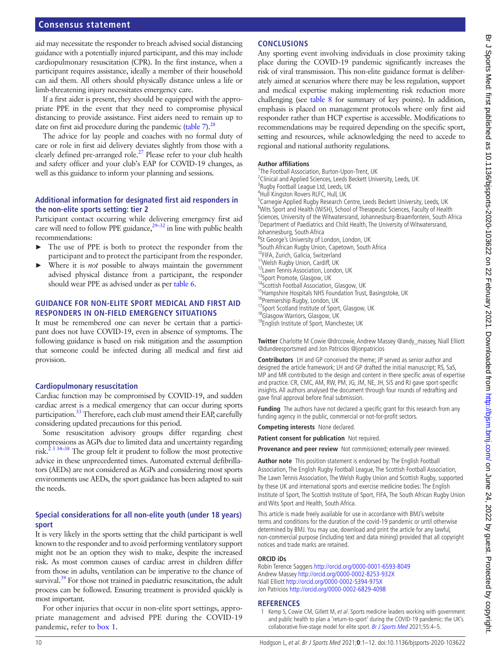## **Consensus statement**

aid may necessitate the responder to breach advised social distancing guidance with a potentially injured participant, and this may include cardiopulmonary resuscitation (CPR). In the first instance, when a participant requires assistance, ideally a member of their household can aid them. All others should physically distance unless a life or limb-threatening injury necessitates emergency care.

If a first aider is present, they should be equipped with the appropriate PPE in the event that they need to compromise physical distancing to provide assistance. First aiders need to remain up to date on first aid procedure during the pandemic ([table](#page-5-0)  $7$ ).<sup>28</sup>

The advice for lay people and coaches with no formal duty of care or role in first aid delivery deviates slightly from those with a clearly defined pre-arranged role.<sup>27</sup> Please refer to your club health and safety officer and your club's EAP for COVID-19 changes, as well as this guidance to inform your planning and sessions.

#### **Additional information for designated first aid responders in the non-elite sports setting: tier 2**

Participant contact occurring while delivering emergency first aid care will need to follow PPE guidance,  $29-32$  in line with public health recommendations:

- The use of PPE is both to protect the responder from the participant and to protect the participant from the responder.
- Where it is *not* possible to always maintain the government advised physical distance from a participant, the responder should wear PPE as advised under as per [table](#page-4-0) 6.

## **GUIDANCE FOR NON-ELITE SPORT MEDICAL AND FIRST AID RESPONDERS IN ON-FIELD EMERGENCY SITUATIONS**

It must be remembered one can never be certain that a participant does not have COVID-19, even in absence of symptoms. The following guidance is based on risk mitigation and the assumption that someone could be infected during all medical and first aid provision.

#### **Cardiopulmonary resuscitation**

Cardiac function may be compromised by COVID-19, and sudden cardiac arrest is a medical emergency that can occur during sports participation.<sup>33</sup> Therefore, each club must amend their EAP, carefully considering updated precautions for this period.

Some resuscitation advisory groups differ regarding chest compressions as AGPs due to limited data and uncertainty regarding risk. $2^{3}$  34–38 The group felt it prudent to follow the most protective advice in these unprecedented times. Automated external defibrillators (AEDs) are not considered as AGPs and considering most sports environments use AEDs, the sport guidance has been adapted to suit the needs.

## **Special considerations for all non-elite youth (under 18 years) sport**

It is very likely in the sports setting that the child participant is well known to the responder and to avoid performing ventilatory support might not be an option they wish to make, despite the increased risk. As most common causes of cardiac arrest in children differ from those in adults, ventilation can be imperative to the chance of survival.<sup>39</sup> For those not trained in paediatric resuscitation, the adult process can be followed. Ensuring treatment is provided quickly is most important.

For other injuries that occur in non-elite sport settings, appropriate management and advised PPE during the COVID-19 pandemic, refer to [box](#page-5-1) 1.

## **CONCLUSIONS**

Any sporting event involving individuals in close proximity taking place during the COVID-19 pandemic significantly increases the risk of viral transmission. This non-elite guidance format is deliberately aimed at scenarios where there may be less regulation, support and medical expertise making implementing risk reduction more challenging (see [table](#page-8-0) 8 for summary of key points). In addition, emphasis is placed on management protocols where only first aid responder rather than HCP expertise is accessible. Modifications to recommendations may be required depending on the specific sport, setting and resources, while acknowledging the need to accede to regional and national authority regulations.

#### **Author affiliations**

<sup>1</sup>The Football Association, Burton-Upon-Trent, UK $^{2}$ Clinical and Applied Sciences, Loods Boskett Univ  $2$ Clinical and Applied Sciences, Leeds Beckett University, Leeds, UK <sup>3</sup>Rugby Football League Ltd, Leeds, UK 4 Hull Kingston Rovers RLFC, Hull, UK <sup>5</sup>Carnegie Applied Rugby Research Centre, Leeds Beckett University, Leeds, UK <sup>6</sup>Wits Sport and Health (WiSH), School of Therapeutic Sciences, Faculty of Health Sciences, University of the Witwatersrand, Johannesburg-Braamfontein, South Africa <sup>7</sup>  $7$ Department of Paediatrics and Child Health, The University of Witwatersrand, Johannesburg, South Africa <sup>8</sup>St George's University of London, London, UK <sup>9</sup>South African Rugby Union, Capetown, South Africa <sup>10</sup>FIFA, Zurich, Galicia, Switzerland <sup>11</sup>Welsh Rugby Union, Cardiff, UK <sup>12</sup>Lawn Tennis Association, London, UK 13Sport Promote, Glasgow, UK 14Scottish Football Association, Glasgow, UK <sup>15</sup>Hampshire Hospitals NHS Foundation Trust, Basingstoke, UK <sup>16</sup>Premiership Rugby, London, UK <sup>17</sup>Sport Scotland Institute of Sport, Glasgow, UK <sup>18</sup>Glasgow Warriors, Glasgow, UK 19English Institute of Sport, Manchester, UK

**Twitter** Charlotte M Cowie [@drccowie](https://twitter.com/drccowie), Andrew Massey [@andy\\_massey](https://twitter.com/andy_massey), Niall Elliott [@dundeesportsmed](https://twitter.com/dundeesportsmed) and Jon Patricios [@jonpatricios](https://twitter.com/jonpatricios)

**Contributors** LH and GP conceived the theme; JP served as senior author and designed the article framework; LH and GP drafted the initial manuscript; RS, SaS, MP and MR contributed to the design and content in there specific areas of expertise and practice. CR, CMC, AM, RW, PM, JG, JM, NE, JH, SiS and RJ gave sport-specific insights. All authors analysed the document through four rounds of redrafting and gave final approval before final submission.

**Funding** The authors have not declared a specific grant for this research from any funding agency in the public, commercial or not-for-profit sectors.

**Competing interests** None declared.

**Patient consent for publication** Not required.

**Provenance and peer review** Not commissioned; externally peer reviewed.

**Author note** This position statement is endorsed by: The English Football Association, The English Rugby Football League, The Scottish Football Association, The Lawn Tennis Association, The Welsh Rugby Union and Scottish Rugby, supported by these UK and international sports and exercise medicine bodies: The English Institute of Sport, The Scottish Institute of Sport, FIFA, The South African Rugby Union and Wits Sport and Health, South Africa.

This article is made freely available for use in accordance with BMJ's website terms and conditions for the duration of the covid-19 pandemic or until otherwise determined by BMJ. You may use, download and print the article for any lawful, non-commercial purpose (including text and data mining) provided that all copyright notices and trade marks are retained.

#### **ORCID iDs**

Robin Terence Saggers <http://orcid.org/0000-0001-6593-8049> Andrew Massey <http://orcid.org/0000-0002-8253-932X> Niall Elliott<http://orcid.org/0000-0002-5394-975X> Jon Patricios<http://orcid.org/0000-0002-6829-4098>

#### **REFERENCES**

<span id="page-9-0"></span>1 Kemp S, Cowie CM, Gillett M, et al. Sports medicine leaders working with government and public health to plan a 'return-to-sport' during the COVID-19 pandemic: the UK's collaborative five-stage model for elite sport. [Br J Sports Med](http://dx.doi.org/10.1136/bjsports-2020-102834) 2021;55:4-5.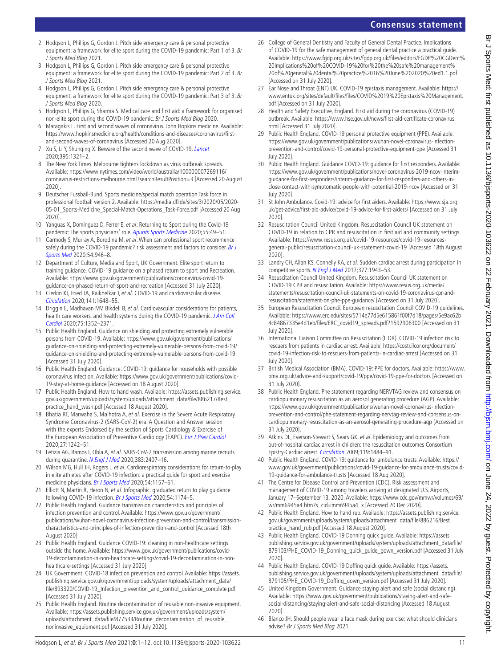<span id="page-10-9"></span>Hodgson L, et al. Br J Sports Med 2021;**0**:1–12. doi:10.1136/bjsports-2020-103622 11 [file/893320/COVID-19\\_Infection\\_prevention\\_and\\_control\\_guidance\\_complete.pdf](https://assets.publishing.service.gov.uk/government/uploads/system/uploads/attachment_data/file/893320/COVID-19_Infection_prevention_and_control_guidance_complete.pdf)  [Accessed 31 July 2020]. 25 Public Health England. Routine decontamination of reusable non-invasive equipment. Available: [https://assets.publishing.service.gov.uk/government/uploads/system/](https://assets.publishing.service.gov.uk/government/uploads/system/uploads/attachment_data/file/877533/Routine_decontamination_of_reusable_noninvasive_equipment.pdf) [uploads/attachment\\_data/file/877533/Routine\\_decontamination\\_of\\_reusable\\_](https://assets.publishing.service.gov.uk/government/uploads/system/uploads/attachment_data/file/877533/Routine_decontamination_of_reusable_noninvasive_equipment.pdf) [noninvasive\\_equipment.pdf](https://assets.publishing.service.gov.uk/government/uploads/system/uploads/attachment_data/file/877533/Routine_decontamination_of_reusable_noninvasive_equipment.pdf) [Accessed 31 July 2020].

<span id="page-10-7"></span>24 UK Government. COVID-18 infection prevention and control. Available: [https://assets.](https://assets.publishing.service.gov.uk/government/uploads/system/uploads/attachment_data/file/893320/COVID-19_Infection_prevention_and_control_guidance_complete.pdf)

<span id="page-10-1"></span>2 Hodgson L, Phillips G, Gordon J. Pitch side emergency care & personal protective equipment: a framework for elite sport during the COVID-19 pandemic: Part 1 of 3. Br

3 Hodgson L, Phillips G, Gordon J. Pitch side emergency care & personal protective equipment: a framework for elite sport during the COVID-19 pandemic: Part 2 of 3. Br

4 Hodgson L, Phillips G, Gordon J. Pitch side emergency care & personal protective equipment: a framework for elite sport during the COVID-19 pandemic: Part 3 of 3. Br

8 The New York Times. Melbourne tightens lockdown as virus outbreak spreads. Available: [https://www.nytimes.com/video/world/australia/100000007269116/](https://www.nytimes.com/video/world/australia/100000007269116/coronavirus-restrictions-melbourne.html?searchResultPosition=3) [coronavirus-restrictions-melbourne.html?searchResultPosition=3](https://www.nytimes.com/video/world/australia/100000007269116/coronavirus-restrictions-melbourne.html?searchResultPosition=3) [Accessed 20 August

<span id="page-10-3"></span>9 Deutscher Fussball-Bund. Sports medicine/special match operation Task force in professional football version 2. Available: [https://media.dfl.de/sites/3/2020/05/2020-](https://media.dfl.de/sites/3/2020/05/2020-05-01_Sports-Medicine_Special-Match-Operations_Task-Force.pdf) [05-01\\_Sports-Medicine\\_Special-Match-Operations\\_Task-Force.pdf](https://media.dfl.de/sites/3/2020/05/2020-05-01_Sports-Medicine_Special-Match-Operations_Task-Force.pdf) [Accessed 20 Aug

10 Yanguas X, Dominguez D, Ferrer E, et al. Returning to Sport during the Covid-19 pandemic: The sports physicians' role. [Apunts Sports Medicine](http://dx.doi.org/10.1016/j.apunsm.2020.06.001) 2020;55:49-51. 11 Carmody S, Murray A, Borodina M, et al. When can professional sport recommence safely during the COVID-19 pandemic? risk assessment and factors to consider. Br J

12 Department of Culture, Media and Sport, UK Government. Elite sport return to training guidance. COVID-19 guidance on a phased return to sport and Recreation. Available: [https://www.gov.uk/government/publications/coronavirus-covid-19](https://www.gov.uk/government/publications/coronavirus-covid-19-guidance-on-phased-return-of-sport-and-recreation) [guidance-on-phased-return-of-sport-and-recreation](https://www.gov.uk/government/publications/coronavirus-covid-19-guidance-on-phased-return-of-sport-and-recreation) [Accessed 31 July 2020]. 13 Clerkin KJ, Fried JA, Raikhelkar J, et al. COVID-19 and cardiovascular disease.

14 Driggin E, Madhavan MV, Bikdeli B, et al. Cardiovascular considerations for patients, health care workers, and health systems during the COVID-19 pandemic. J Am Coll

<span id="page-10-17"></span>15 Public Health England. Guidance on shielding and protecting extremely vulnerable persons from COVID-19. Available: [https://www.gov.uk/government/publications/](https://www.gov.uk/government/publications/guidance-on-shielding-and-protecting-extremely-vulnerable-persons-from-covid-19/guidance-on-shielding-and-protecting-extremely-vulnerable-persons-from-covid-19) [guidance-on-shielding-and-protecting-extremely-vulnerable-persons-from-covid-19/](https://www.gov.uk/government/publications/guidance-on-shielding-and-protecting-extremely-vulnerable-persons-from-covid-19/guidance-on-shielding-and-protecting-extremely-vulnerable-persons-from-covid-19) [guidance-on-shielding-and-protecting-extremely-vulnerable-persons-from-covid-19](https://www.gov.uk/government/publications/guidance-on-shielding-and-protecting-extremely-vulnerable-persons-from-covid-19/guidance-on-shielding-and-protecting-extremely-vulnerable-persons-from-covid-19) 

<span id="page-10-18"></span>16 Public Health England. Guidance: COVID-19: guidance for households with possible coronavirus infection. Available: [https://www.gov.uk/government/publications/covid-](https://www.gov.uk/government/publications/covid-19-stay-at-home-guidance)

<span id="page-10-6"></span>17 Public Health England. How to hand wash. Available: [https://assets.publishing.service.](https://assets.publishing.service.gov.uk/government/uploads/system/uploads/attachment_data/file/886217/Best_practice_hand_wash.pdf) [gov.uk/government/uploads/system/uploads/attachment\\_data/file/886217/Best\\_](https://assets.publishing.service.gov.uk/government/uploads/system/uploads/attachment_data/file/886217/Best_practice_hand_wash.pdf)

<span id="page-10-22"></span>Bhatia RT, Marwaha S, Malhotra A, et al. Exercise in the Severe Acute Respiratory Syndrome Coronavirus-2 (SARS-CoV-2) era: A Question and Answer session with the experts Endorsed by the section of Sports Cardiology & Exercise of the European Association of Preventive Cardiology (EAPC). [Eur J Prev Cardiol](http://dx.doi.org/10.1177/2047487320930596)

<span id="page-10-5"></span>19 Letizia AG, Ramos I, Obla A, et al. SARS-CoV-2 transmission among marine recruits

<span id="page-10-24"></span><span id="page-10-20"></span>21 Elliott N, Martin R, Heron N, et al. Infographic. graduated return to play quidance following COVID-19 infection. [Br J Sports Med](http://dx.doi.org/10.1136/bjsports-2020-102637) 2020;54:1174-5. 22 Public Health England. Guidance transmission characteristics and principles of infection prevention and control. Available: [https://www.gov.uk/government/](https://www.gov.uk/government/publications/wuhan-novel-coronavirus-infection-prevention-and-control/transmission-characteristics-and-principles-of-infection-prevention-and-control) [publications/wuhan-novel-coronavirus-infection-prevention-and-control/transmission](https://www.gov.uk/government/publications/wuhan-novel-coronavirus-infection-prevention-and-control/transmission-characteristics-and-principles-of-infection-prevention-and-control)[characteristics-and-principles-of-infection-prevention-and-control](https://www.gov.uk/government/publications/wuhan-novel-coronavirus-infection-prevention-and-control/transmission-characteristics-and-principles-of-infection-prevention-and-control) [Accessed 18th

<span id="page-10-8"></span>23 Public Health England. Guidance COVID-19: cleaning in non-healthcare settings outside the home. Available: [https://www.gov.uk/government/publications/covid-](https://www.gov.uk/government/publications/covid-19-decontamination-in-non-healthcare-settings/covid-19-decontamination-in-non-healthcare-settings)[19-decontamination-in-non-healthcare-settings/covid-19-decontamination-in-non-](https://www.gov.uk/government/publications/covid-19-decontamination-in-non-healthcare-settings/covid-19-decontamination-in-non-healthcare-settings)

<span id="page-10-23"></span>20 Wilson MG, Hull JH, Rogers J, et al. Cardiorespiratory considerations for return-to-play in elite athletes after COVID-19 infection: a practical guide for sport and exercise

[19-stay-at-home-guidance](https://www.gov.uk/government/publications/covid-19-stay-at-home-guidance) [Accessed on 18 August 2020].

[practice\\_hand\\_wash.pdf](https://assets.publishing.service.gov.uk/government/uploads/system/uploads/attachment_data/file/886217/Best_practice_hand_wash.pdf) [Accessed 18 August 2020].

during quarantine. [N Engl J Med](http://dx.doi.org/10.1056/NEJMoa2029717) 2020;383:2407-16.

medicine physicians. [Br J Sports Med](http://dx.doi.org/10.1136/bjsports-2020-102710) 2020;54:1157-61.

[healthcare-settings](https://www.gov.uk/government/publications/covid-19-decontamination-in-non-healthcare-settings/covid-19-decontamination-in-non-healthcare-settings) [Accessed 31 July 2020].

[and-second-waves-of-coronavirus](https://www.hopkinsmedicine.org/health/conditions-and-diseases/coronavirus/first-and-second-waves-of-coronavirus) [Accessed 20 Aug 2020]. 7 Xu S, Li Y, Shunging X. Beware of the second wave of COVID-19. [Lancet](http://dx.doi.org/10.1016/S0140-6736(20)30845-X)

<span id="page-10-2"></span><span id="page-10-0"></span>5 Hodgson L, Phillips G, Sharma S. Medical care and first aid: a framework for organised non-elite sport during the COVID-19 pandemic. Br J Sports Med Blog 2020. 6 Maragakis L. First and second waves of coronavirus. John Hopkins medicine. Available: [https://www.hopkinsmedicine.org/health/conditions-and-diseases/coronavirus/first-](https://www.hopkinsmedicine.org/health/conditions-and-diseases/coronavirus/first-and-second-waves-of-coronavirus)

J Sports Med Blog 2021.

J Sports Med Blog 2021.

J Sports Med Blog 2020.

2020;395:1321–2.

[Sports Med](http://dx.doi.org/10.1136/bjsports-2020-102539) 2020;54:946–8.

<span id="page-10-14"></span>[Circulation](http://dx.doi.org/10.1161/CIRCULATIONAHA.120.046941) 2020;141:1648–55.

[Cardiol](http://dx.doi.org/10.1016/j.jacc.2020.03.031) 2020;75:1352–2371.

[Accessed 31 July 2020].

2020;27:1242–51.

August 2020].

2020].

2020].

- <span id="page-10-16"></span>26 College of General Dentistry and Faculty of General Dental Practice. Implications of COVID-19 for the safe management of general dental practice a practical guide. Available: [https://www.fgdp.org.uk/sites/fgdp.org.uk/files/editors/FGDP%20CGDent%](https://www.fgdp.org.uk/sites/fgdp.org.uk/files/editors/FGDP%20CGDent%20Implications%20of%20COVID-19%20for%20the%20safe%20management%20of%20general%20dental%20practice%2016%20June%202020%20ed1.1.pdf) [20Implications%20of%20COVID-19%20for%20the%20safe%20management%](https://www.fgdp.org.uk/sites/fgdp.org.uk/files/editors/FGDP%20CGDent%20Implications%20of%20COVID-19%20for%20the%20safe%20management%20of%20general%20dental%20practice%2016%20June%202020%20ed1.1.pdf) [20of%20general%20dental%20practice%2016%20June%202020%20ed1.1.pdf](https://www.fgdp.org.uk/sites/fgdp.org.uk/files/editors/FGDP%20CGDent%20Implications%20of%20COVID-19%20for%20the%20safe%20management%20of%20general%20dental%20practice%2016%20June%202020%20ed1.1.pdf)  [Accessed on 31 July 2020].
- <span id="page-10-19"></span>27 Ear Nose and Throat (ENT) UK. COVID-19 epistaxis management. Available: [https://](https://www.entuk.org/sites/default/files/files/COVID%2019%20Epistaxis%20Management.pdf) [www.entuk.org/sites/default/files/files/COVID%2019%20Epistaxis%20Management.](https://www.entuk.org/sites/default/files/files/COVID%2019%20Epistaxis%20Management.pdf) [pdf](https://www.entuk.org/sites/default/files/files/COVID%2019%20Epistaxis%20Management.pdf) [Accessed on 31 July 2020].
- <span id="page-10-12"></span>28 Health and Safety Executive, England. First aid during the coronavirus (COVID-19) outbreak. Available: [https://www.hse.gov.uk/news/first-aid-certificate-coronavirus.](https://www.hse.gov.uk/news/first-aid-certificate-coronavirus.html) [html](https://www.hse.gov.uk/news/first-aid-certificate-coronavirus.html) [Accessed 31 July 2020].
- <span id="page-10-21"></span>29 Public Health England. COVID-19 personal protective equipment (PPE). Available: [https://www.gov.uk/government/publications/wuhan-novel-coronavirus-infection](https://www.gov.uk/government/publications/wuhan-novel-coronavirus-infection-prevention-and-control/covid-19-personal-protective-equipment-ppe)[prevention-and-control/covid-19-personal-protective-equipment-ppe](https://www.gov.uk/government/publications/wuhan-novel-coronavirus-infection-prevention-and-control/covid-19-personal-protective-equipment-ppe) [Accessed 31 July 2020].
- <span id="page-10-25"></span>30 Public Health England. Guidance COVID-19: guidance for first responders. Available: [https://www.gov.uk/government/publications/novel-coronavirus-2019-ncov-interim](https://www.gov.uk/government/publications/novel-coronavirus-2019-ncov-interim-guidance-for-first-responders/interim-guidance-for-first-responders-and-others-in-close-contact-with-symptomatic-people-with-potential-2019-ncov)[guidance-for-first-responders/interim-guidance-for-first-responders-and-others-in](https://www.gov.uk/government/publications/novel-coronavirus-2019-ncov-interim-guidance-for-first-responders/interim-guidance-for-first-responders-and-others-in-close-contact-with-symptomatic-people-with-potential-2019-ncov)[close-contact-with-symptomatic-people-with-potential-2019-ncov](https://www.gov.uk/government/publications/novel-coronavirus-2019-ncov-interim-guidance-for-first-responders/interim-guidance-for-first-responders-and-others-in-close-contact-with-symptomatic-people-with-potential-2019-ncov) [Accessed on 31 July 2020].
- 31 St John Ambulance. Covid-19: advice for first aiders. Available: [https://www.sja.org.](https://www.sja.org.uk/get-advice/first-aid-advice/covid-19-advice-for-first-aiders/) [uk/get-advice/first-aid-advice/covid-19-advice-for-first-aiders/](https://www.sja.org.uk/get-advice/first-aid-advice/covid-19-advice-for-first-aiders/) [Accessed on 31 July 2020].
- <span id="page-10-26"></span>32 Resuscitation Council United Kingdom. Resuscitation Council UK statement on COVID-19 in relation to CPR and resuscitation in first aid and community settings. Available: [https://www.resus.org.uk/covid-19-resources/covid-19-resources](https://www.resus.org.uk/covid-19-resources/covid-19-resources-general-public/resuscitation-council-uk-statement-covid-19)[general-public/resuscitation-council-uk-statement-covid-19](https://www.resus.org.uk/covid-19-resources/covid-19-resources-general-public/resuscitation-council-uk-statement-covid-19) [Accessed 18th August 2020].
- <span id="page-10-27"></span>33 Landry CH, Allan KS, Connelly KA, et al. Sudden cardiac arrest during participation in competitive sports. [N Engl J Med](http://dx.doi.org/10.1056/NEJMoa1615710) 2017;377:1943-53.
- <span id="page-10-15"></span>34 Resuscitation Council United Kingdom. Resuscitation Council UK statement on COVID-19 CPR and resuscitation. Available: [https://www.resus.org.uk/media/](https://www.resus.org.uk/media/statements/resuscitation-council-uk-statements-on-covid-19-coronavirus-cpr-and-resuscitation/statement-on-phe-ppe-guidance/) [statements/resuscitation-council-uk-statements-on-covid-19-coronavirus-cpr-and](https://www.resus.org.uk/media/statements/resuscitation-council-uk-statements-on-covid-19-coronavirus-cpr-and-resuscitation/statement-on-phe-ppe-guidance/)[resuscitation/statement-on-phe-ppe-guidance/](https://www.resus.org.uk/media/statements/resuscitation-council-uk-statements-on-covid-19-coronavirus-cpr-and-resuscitation/statement-on-phe-ppe-guidance/) [Accessed on 31 July 2020].
- 35 European Resuscitation Council. European resuscitation Council COVID-19 guidelines. Available: [https://www.erc.edu/sites/5714e77d5e615861f00f7d18/pages/5e9ac62b](https://www.erc.edu/sites/5714e77d5e615861f00f7d18/pages/5e9ac62b4c84867335e4d1eb/files/ERC_covid19_spreads.pdf?1592906300) [4c84867335e4d1eb/files/ERC\\_covid19\\_spreads.pdf?1592906300](https://www.erc.edu/sites/5714e77d5e615861f00f7d18/pages/5e9ac62b4c84867335e4d1eb/files/ERC_covid19_spreads.pdf?1592906300) [Accessed on 31 July 2020].
- 36 International Liaison Committee on Resuscitation (ILOR). COVID-19 infection risk to rescuers from patients in cardiac arrest. Available: [https://costr.ilcor.org/document/](https://costr.ilcor.org/document/covid-19-infection-risk-to-rescuers-from-patients-in-cardiac-arrest) [covid-19-infection-risk-to-rescuers-from-patients-in-cardiac-arrest](https://costr.ilcor.org/document/covid-19-infection-risk-to-rescuers-from-patients-in-cardiac-arrest) [Accessed on 31 July 2020].
- 37 British Medical Association (BMA). COVID-19: PPE for doctors. Available: [https://www.](https://www.bma.org.uk/advice-and-support/covid-19/ppe/covid-19-ppe-for-doctors) [bma.org.uk/advice-and-support/covid-19/ppe/covid-19-ppe-for-doctors](https://www.bma.org.uk/advice-and-support/covid-19/ppe/covid-19-ppe-for-doctors) [Accessed on 31 July 2020].
- 38 Public Health England. Phe statement regarding NERVTAG review and consensus on cardiopulmonary resuscitation as an aerosol generating procedure (AGP). Available: [https://www.gov.uk/government/publications/wuhan-novel-coronavirus-infection](https://www.gov.uk/government/publications/wuhan-novel-coronavirus-infection-prevention-and-control/phe-statement-regarding-nervtag-review-and-consensus-on-cardiopulmonary-resuscitation-as-an-aerosol-generating-procedure-agp)[prevention-and-control/phe-statement-regarding-nervtag-review-and-consensus-on](https://www.gov.uk/government/publications/wuhan-novel-coronavirus-infection-prevention-and-control/phe-statement-regarding-nervtag-review-and-consensus-on-cardiopulmonary-resuscitation-as-an-aerosol-generating-procedure-agp)[cardiopulmonary-resuscitation-as-an-aerosol-generating-procedure-agp](https://www.gov.uk/government/publications/wuhan-novel-coronavirus-infection-prevention-and-control/phe-statement-regarding-nervtag-review-and-consensus-on-cardiopulmonary-resuscitation-as-an-aerosol-generating-procedure-agp) [Accessed on 31 July 2020].
- <span id="page-10-28"></span>39 Atkins DL, Everson-Stewart S, Sears GK, et al. Epidemiology and outcomes from out-of-hospital cardiac arrest in children: the resuscitation outcomes Consortium Epistry-Cardiac arrest. [Circulation](http://dx.doi.org/10.1161/CIRCULATIONAHA.108.802678) 2009;119:1484–91.
- <span id="page-10-4"></span>40 Public Health England. COVID-19: guidance for ambulance trusts. Available: [https://](https://www.gov.uk/government/publications/covid-19-guidance-for-ambulance-trusts/covid-19-guidance-for-ambulance-trusts) [www.gov.uk/government/publications/covid-19-guidance-for-ambulance-trusts/covid-](https://www.gov.uk/government/publications/covid-19-guidance-for-ambulance-trusts/covid-19-guidance-for-ambulance-trusts)[19-guidance-for-ambulance-trusts](https://www.gov.uk/government/publications/covid-19-guidance-for-ambulance-trusts/covid-19-guidance-for-ambulance-trusts) [Accessed 18 Aug 2020].
- 41 The Centre for Disease Control and Prevention (CDC). Risk assessment and management of COVID-19 among travelers arriving at designated U.S. Airports, January 17–September 13, 2020. Available: [https://www.cdc.gov/mmwr/volumes/69/](https://www.cdc.gov/mmwr/volumes/69/wr/mm6945a4.htm?s_cid=mm6945a4_x) [wr/mm6945a4.htm?s\\_cid=mm6945a4\\_x](https://www.cdc.gov/mmwr/volumes/69/wr/mm6945a4.htm?s_cid=mm6945a4_x) [Accessed 20 Dec 2020].
- 42 Public Health England. How to hand rub. Available: [https://assets.publishing.service.](https://assets.publishing.service.gov.uk/government/uploads/system/uploads/attachment_data/file/886216/Best_practice_hand_rub.pdf) [gov.uk/government/uploads/system/uploads/attachment\\_data/file/886216/Best\\_](https://assets.publishing.service.gov.uk/government/uploads/system/uploads/attachment_data/file/886216/Best_practice_hand_rub.pdf) [practice\\_hand\\_rub.pdf](https://assets.publishing.service.gov.uk/government/uploads/system/uploads/attachment_data/file/886216/Best_practice_hand_rub.pdf) [Accessed 18 August 2020].
- <span id="page-10-10"></span>43 Public Health England. COVID-19 Donning quick guide. Available: [https://assets.](https://assets.publishing.service.gov.uk/government/uploads/system/uploads/attachment_data/file/879103/PHE_COVID-19_Donning_quick_guide_gown_version.pdf) [publishing.service.gov.uk/government/uploads/system/uploads/attachment\\_data/file/](https://assets.publishing.service.gov.uk/government/uploads/system/uploads/attachment_data/file/879103/PHE_COVID-19_Donning_quick_guide_gown_version.pdf) [879103/PHE\\_COVID-19\\_Donning\\_quick\\_guide\\_gown\\_version.pdf](https://assets.publishing.service.gov.uk/government/uploads/system/uploads/attachment_data/file/879103/PHE_COVID-19_Donning_quick_guide_gown_version.pdf) [Accessed 31 July 2020].
- 44 Public Health England. COVID-19 Doffing quick guide. Available: [https://assets.](https://assets.publishing.service.gov.uk/government/uploads/system/uploads/attachment_data/file/879105/PHE_COVID-19_Doffing_gown_version.pdf) [publishing.service.gov.uk/government/uploads/system/uploads/attachment\\_data/file/](https://assets.publishing.service.gov.uk/government/uploads/system/uploads/attachment_data/file/879105/PHE_COVID-19_Doffing_gown_version.pdf) [879105/PHE\\_COVID-19\\_Doffing\\_gown\\_version.pdf](https://assets.publishing.service.gov.uk/government/uploads/system/uploads/attachment_data/file/879105/PHE_COVID-19_Doffing_gown_version.pdf) [Accessed 31 July 2020].
- <span id="page-10-11"></span>45 United Kingdom Government. Guidance staying alert and safe (social distancing). Available: [https://www.gov.uk/government/publications/staying-alert-and-safe](https://www.gov.uk/government/publications/staying-alert-and-safe-social-distancing/staying-alert-and-safe-social-distancing)[social-distancing/staying-alert-and-safe-social-distancing](https://www.gov.uk/government/publications/staying-alert-and-safe-social-distancing/staying-alert-and-safe-social-distancing) [Accessed 18 August 2020].
- <span id="page-10-13"></span>46 Blanco JH. Should people wear a face mask during exercise: what should clinicians advise? Br J Sports Med Blog 2021.

# **Consensus statement**